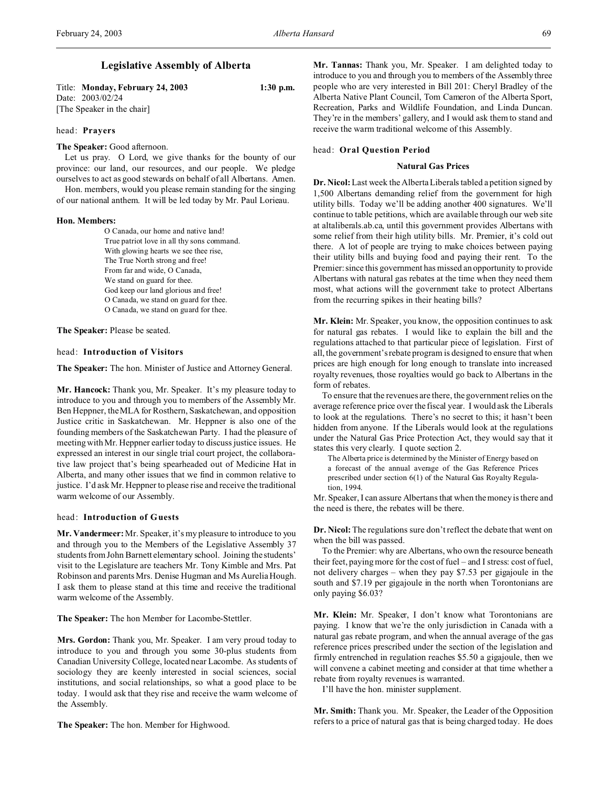# **Legislative Assembly of Alberta**

Title: **Monday, February 24, 2003 1:30 p.m.** Date: 2003/02/24 [The Speaker in the chair]

### head: **Prayers**

### **The Speaker:** Good afternoon.

Let us pray. O Lord, we give thanks for the bounty of our province: our land, our resources, and our people. We pledge ourselves to act as good stewards on behalf of all Albertans. Amen.

Hon. members, would you please remain standing for the singing of our national anthem. It will be led today by Mr. Paul Lorieau.

### **Hon. Members:**

O Canada, our home and native land! True patriot love in all thy sons command. With glowing hearts we see thee rise, The True North strong and free! From far and wide, O Canada, We stand on guard for thee. God keep our land glorious and free! O Canada, we stand on guard for thee. O Canada, we stand on guard for thee.

**The Speaker:** Please be seated.

### head: **Introduction of Visitors**

**The Speaker:** The hon. Minister of Justice and Attorney General.

**Mr. Hancock:** Thank you, Mr. Speaker. It's my pleasure today to introduce to you and through you to members of the Assembly Mr. Ben Heppner, the MLA for Rosthern, Saskatchewan, and opposition Justice critic in Saskatchewan. Mr. Heppner is also one of the founding members of the Saskatchewan Party. I had the pleasure of meeting with Mr. Heppner earlier today to discuss justice issues. He expressed an interest in our single trial court project, the collaborative law project that's being spearheaded out of Medicine Hat in Alberta, and many other issues that we find in common relative to justice. I'd ask Mr. Heppner to please rise and receive the traditional warm welcome of our Assembly.

## head: **Introduction of Guests**

**Mr. Vandermeer:** Mr. Speaker, it's my pleasure to introduce to you and through you to the Members of the Legislative Assembly 37 students from John Barnett elementary school. Joining the students' visit to the Legislature are teachers Mr. Tony Kimble and Mrs. Pat Robinson and parents Mrs. Denise Hugman and Ms Aurelia Hough. I ask them to please stand at this time and receive the traditional warm welcome of the Assembly.

**The Speaker:** The hon Member for Lacombe-Stettler.

**Mrs. Gordon:** Thank you, Mr. Speaker. I am very proud today to introduce to you and through you some 30-plus students from Canadian University College, located near Lacombe. As students of sociology they are keenly interested in social sciences, social institutions, and social relationships, so what a good place to be today. I would ask that they rise and receive the warm welcome of the Assembly.

**The Speaker:** The hon. Member for Highwood.

**Mr. Tannas:** Thank you, Mr. Speaker. I am delighted today to introduce to you and through you to members of the Assembly three people who are very interested in Bill 201: Cheryl Bradley of the Alberta Native Plant Council, Tom Cameron of the Alberta Sport, Recreation, Parks and Wildlife Foundation, and Linda Duncan. They're in the members' gallery, and I would ask them to stand and receive the warm traditional welcome of this Assembly.

#### head: **Oral Question Period**

### **Natural Gas Prices**

**Dr. Nicol:**Last week the Alberta Liberals tabled a petition signed by 1,500 Albertans demanding relief from the government for high utility bills. Today we'll be adding another 400 signatures. We'll continue to table petitions, which are available through our web site at altaliberals.ab.ca, until this government provides Albertans with some relief from their high utility bills. Mr. Premier, it's cold out there. A lot of people are trying to make choices between paying their utility bills and buying food and paying their rent. To the Premier: since this government has missed an opportunity to provide Albertans with natural gas rebates at the time when they need them most, what actions will the government take to protect Albertans from the recurring spikes in their heating bills?

**Mr. Klein:** Mr. Speaker, you know, the opposition continues to ask for natural gas rebates. I would like to explain the bill and the regulations attached to that particular piece of legislation. First of all, the government's rebate program is designed to ensure that when prices are high enough for long enough to translate into increased royalty revenues, those royalties would go back to Albertans in the form of rebates.

To ensure that the revenues are there, the government relies on the average reference price over the fiscal year. I would ask the Liberals to look at the regulations. There's no secret to this; it hasn't been hidden from anyone. If the Liberals would look at the regulations under the Natural Gas Price Protection Act, they would say that it states this very clearly. I quote section 2.

The Alberta price is determined by the Minister of Energy based on a forecast of the annual average of the Gas Reference Prices prescribed under section 6(1) of the Natural Gas Royalty Regulation, 1994.

Mr. Speaker, I can assure Albertans that when the money is there and the need is there, the rebates will be there.

**Dr. Nicol:** The regulations sure don't reflect the debate that went on when the bill was passed.

To the Premier: why are Albertans, who own the resource beneath their feet, paying more for the cost of fuel – and I stress: cost of fuel, not delivery charges – when they pay \$7.53 per gigajoule in the south and \$7.19 per gigajoule in the north when Torontonians are only paying \$6.03?

**Mr. Klein:** Mr. Speaker, I don't know what Torontonians are paying. I know that we're the only jurisdiction in Canada with a natural gas rebate program, and when the annual average of the gas reference prices prescribed under the section of the legislation and firmly entrenched in regulation reaches \$5.50 a gigajoule, then we will convene a cabinet meeting and consider at that time whether a rebate from royalty revenues is warranted.

I'll have the hon. minister supplement.

**Mr. Smith:** Thank you. Mr. Speaker, the Leader of the Opposition refers to a price of natural gas that is being charged today. He does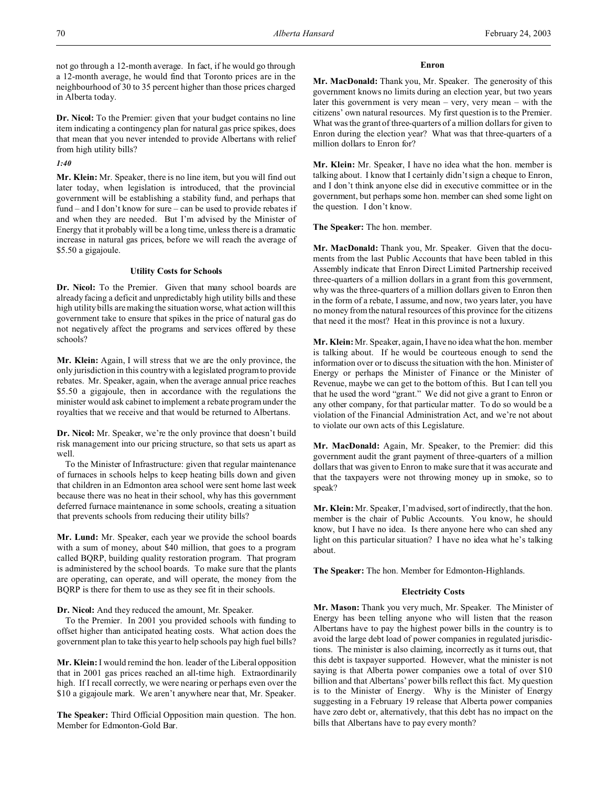not go through a 12-month average. In fact, if he would go through a 12-month average, he would find that Toronto prices are in the neighbourhood of 30 to 35 percent higher than those prices charged in Alberta today.

**Dr. Nicol:** To the Premier: given that your budget contains no line item indicating a contingency plan for natural gas price spikes, does that mean that you never intended to provide Albertans with relief from high utility bills?

# *1:40*

**Mr. Klein:** Mr. Speaker, there is no line item, but you will find out later today, when legislation is introduced, that the provincial government will be establishing a stability fund, and perhaps that fund – and I don't know for sure – can be used to provide rebates if and when they are needed. But I'm advised by the Minister of Energy that it probably will be a long time, unless there is a dramatic increase in natural gas prices, before we will reach the average of \$5.50 a gigajoule.

## **Utility Costs for Schools**

**Dr. Nicol:** To the Premier. Given that many school boards are already facing a deficit and unpredictably high utility bills and these high utility bills are making the situation worse, what action will this government take to ensure that spikes in the price of natural gas do not negatively affect the programs and services offered by these schools?

**Mr. Klein:** Again, I will stress that we are the only province, the only jurisdiction in this country with a legislated program to provide rebates. Mr. Speaker, again, when the average annual price reaches \$5.50 a gigajoule, then in accordance with the regulations the minister would ask cabinet to implement a rebate program under the royalties that we receive and that would be returned to Albertans.

**Dr. Nicol:** Mr. Speaker, we're the only province that doesn't build risk management into our pricing structure, so that sets us apart as well.

To the Minister of Infrastructure: given that regular maintenance of furnaces in schools helps to keep heating bills down and given that children in an Edmonton area school were sent home last week because there was no heat in their school, why has this government deferred furnace maintenance in some schools, creating a situation that prevents schools from reducing their utility bills?

**Mr. Lund:** Mr. Speaker, each year we provide the school boards with a sum of money, about \$40 million, that goes to a program called BQRP, building quality restoration program. That program is administered by the school boards. To make sure that the plants are operating, can operate, and will operate, the money from the BQRP is there for them to use as they see fit in their schools.

**Dr. Nicol:** And they reduced the amount, Mr. Speaker.

To the Premier. In 2001 you provided schools with funding to offset higher than anticipated heating costs. What action does the government plan to take this year to help schools pay high fuel bills?

**Mr. Klein:** I would remind the hon. leader of the Liberal opposition that in 2001 gas prices reached an all-time high. Extraordinarily high. If I recall correctly, we were nearing or perhaps even over the \$10 a gigajoule mark. We aren't anywhere near that, Mr. Speaker.

**The Speaker:** Third Official Opposition main question. The hon. Member for Edmonton-Gold Bar.

### **Enron**

**Mr. MacDonald:** Thank you, Mr. Speaker. The generosity of this government knows no limits during an election year, but two years later this government is very mean – very, very mean – with the citizens' own natural resources. My first question is to the Premier. What was the grant of three-quarters of a million dollars for given to Enron during the election year? What was that three-quarters of a million dollars to Enron for?

**Mr. Klein:** Mr. Speaker, I have no idea what the hon. member is talking about. I know that I certainly didn't sign a cheque to Enron, and I don't think anyone else did in executive committee or in the government, but perhaps some hon. member can shed some light on the question. I don't know.

**The Speaker:** The hon. member.

**Mr. MacDonald:** Thank you, Mr. Speaker. Given that the documents from the last Public Accounts that have been tabled in this Assembly indicate that Enron Direct Limited Partnership received three-quarters of a million dollars in a grant from this government, why was the three-quarters of a million dollars given to Enron then in the form of a rebate, I assume, and now, two years later, you have no money from the natural resources of this province for the citizens that need it the most? Heat in this province is not a luxury.

**Mr. Klein:** Mr. Speaker, again, I have no idea what the hon. member is talking about. If he would be courteous enough to send the information over or to discuss the situation with the hon. Minister of Energy or perhaps the Minister of Finance or the Minister of Revenue, maybe we can get to the bottom of this. But I can tell you that he used the word "grant." We did not give a grant to Enron or any other company, for that particular matter. To do so would be a violation of the Financial Administration Act, and we're not about to violate our own acts of this Legislature.

**Mr. MacDonald:** Again, Mr. Speaker, to the Premier: did this government audit the grant payment of three-quarters of a million dollars that was given to Enron to make sure that it was accurate and that the taxpayers were not throwing money up in smoke, so to speak?

**Mr. Klein:** Mr. Speaker, I'm advised, sort of indirectly, that the hon. member is the chair of Public Accounts. You know, he should know, but I have no idea. Is there anyone here who can shed any light on this particular situation? I have no idea what he's talking about.

**The Speaker:** The hon. Member for Edmonton-Highlands.

# **Electricity Costs**

**Mr. Mason:** Thank you very much, Mr. Speaker. The Minister of Energy has been telling anyone who will listen that the reason Albertans have to pay the highest power bills in the country is to avoid the large debt load of power companies in regulated jurisdictions. The minister is also claiming, incorrectly as it turns out, that this debt is taxpayer supported. However, what the minister is not saying is that Alberta power companies owe a total of over \$10 billion and that Albertans' power bills reflect this fact. My question is to the Minister of Energy. Why is the Minister of Energy suggesting in a February 19 release that Alberta power companies have zero debt or, alternatively, that this debt has no impact on the bills that Albertans have to pay every month?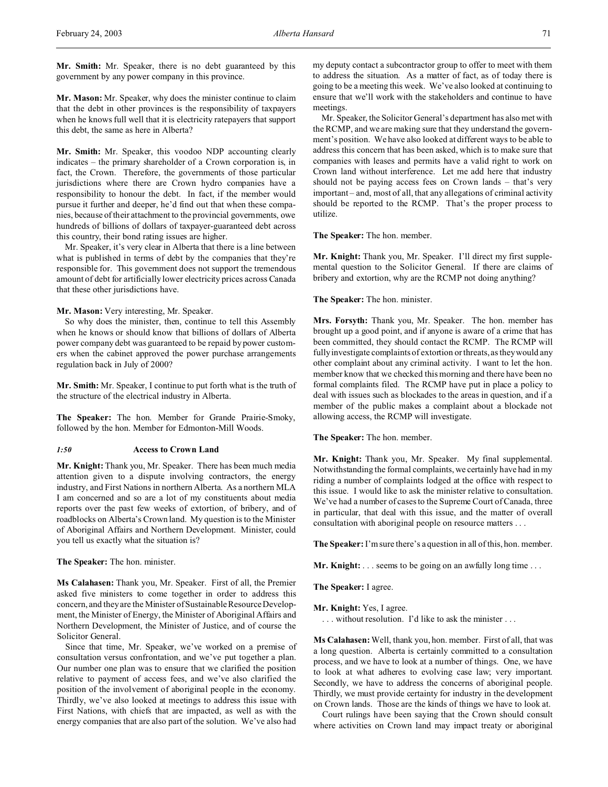**Mr. Smith:** Mr. Speaker, there is no debt guaranteed by this government by any power company in this province.

**Mr. Mason:** Mr. Speaker, why does the minister continue to claim that the debt in other provinces is the responsibility of taxpayers when he knows full well that it is electricity ratepayers that support this debt, the same as here in Alberta?

**Mr. Smith:** Mr. Speaker, this voodoo NDP accounting clearly indicates – the primary shareholder of a Crown corporation is, in fact, the Crown. Therefore, the governments of those particular jurisdictions where there are Crown hydro companies have a responsibility to honour the debt. In fact, if the member would pursue it further and deeper, he'd find out that when these companies, because of their attachment to the provincial governments, owe hundreds of billions of dollars of taxpayer-guaranteed debt across this country, their bond rating issues are higher.

Mr. Speaker, it's very clear in Alberta that there is a line between what is published in terms of debt by the companies that they're responsible for. This government does not support the tremendous amount of debt for artificially lower electricity prices across Canada that these other jurisdictions have.

**Mr. Mason:** Very interesting, Mr. Speaker.

So why does the minister, then, continue to tell this Assembly when he knows or should know that billions of dollars of Alberta power company debt was guaranteed to be repaid by power customers when the cabinet approved the power purchase arrangements regulation back in July of 2000?

**Mr. Smith:** Mr. Speaker, I continue to put forth what is the truth of the structure of the electrical industry in Alberta.

**The Speaker:** The hon. Member for Grande Prairie-Smoky, followed by the hon. Member for Edmonton-Mill Woods.

## *1:50* **Access to Crown Land**

**Mr. Knight:** Thank you, Mr. Speaker. There has been much media attention given to a dispute involving contractors, the energy industry, and First Nations in northern Alberta. As a northern MLA I am concerned and so are a lot of my constituents about media reports over the past few weeks of extortion, of bribery, and of roadblocks on Alberta's Crown land. My question is to the Minister of Aboriginal Affairs and Northern Development. Minister, could you tell us exactly what the situation is?

**The Speaker:** The hon. minister.

**Ms Calahasen:** Thank you, Mr. Speaker. First of all, the Premier asked five ministers to come together in order to address this concern, and they are the Minister of Sustainable Resource Development, the Minister of Energy, the Minister of Aboriginal Affairs and Northern Development, the Minister of Justice, and of course the Solicitor General.

Since that time, Mr. Speaker, we've worked on a premise of consultation versus confrontation, and we've put together a plan. Our number one plan was to ensure that we clarified the position relative to payment of access fees, and we've also clarified the position of the involvement of aboriginal people in the economy. Thirdly, we've also looked at meetings to address this issue with First Nations, with chiefs that are impacted, as well as with the energy companies that are also part of the solution. We've also had

my deputy contact a subcontractor group to offer to meet with them to address the situation. As a matter of fact, as of today there is going to be a meeting this week. We've also looked at continuing to ensure that we'll work with the stakeholders and continue to have meetings.

Mr. Speaker, the Solicitor General's department has also met with the RCMP, and we are making sure that they understand the government's position. We have also looked at different ways to be able to address this concern that has been asked, which is to make sure that companies with leases and permits have a valid right to work on Crown land without interference. Let me add here that industry should not be paying access fees on Crown lands – that's very important – and, most of all, that any allegations of criminal activity should be reported to the RCMP. That's the proper process to utilize.

**The Speaker:** The hon. member.

**Mr. Knight:** Thank you, Mr. Speaker. I'll direct my first supplemental question to the Solicitor General. If there are claims of bribery and extortion, why are the RCMP not doing anything?

**The Speaker:** The hon. minister.

**Mrs. Forsyth:** Thank you, Mr. Speaker. The hon. member has brought up a good point, and if anyone is aware of a crime that has been committed, they should contact the RCMP. The RCMP will fully investigate complaints of extortion or threats, as they would any other complaint about any criminal activity. I want to let the hon. member know that we checked this morning and there have been no formal complaints filed. The RCMP have put in place a policy to deal with issues such as blockades to the areas in question, and if a member of the public makes a complaint about a blockade not allowing access, the RCMP will investigate.

**The Speaker:** The hon. member.

**Mr. Knight:** Thank you, Mr. Speaker. My final supplemental. Notwithstanding the formal complaints, we certainly have had in my riding a number of complaints lodged at the office with respect to this issue. I would like to ask the minister relative to consultation. We've had a number of cases to the Supreme Court of Canada, three in particular, that deal with this issue, and the matter of overall consultation with aboriginal people on resource matters . . .

**The Speaker:** I'm sure there's a question in all of this, hon. member.

**Mr. Knight:** . . . seems to be going on an awfully long time . . .

**The Speaker:** I agree.

**Mr. Knight:** Yes, I agree.

. . . without resolution. I'd like to ask the minister . . .

**Ms Calahasen:** Well, thank you, hon. member. First of all, that was a long question. Alberta is certainly committed to a consultation process, and we have to look at a number of things. One, we have to look at what adheres to evolving case law; very important. Secondly, we have to address the concerns of aboriginal people. Thirdly, we must provide certainty for industry in the development on Crown lands. Those are the kinds of things we have to look at.

Court rulings have been saying that the Crown should consult where activities on Crown land may impact treaty or aboriginal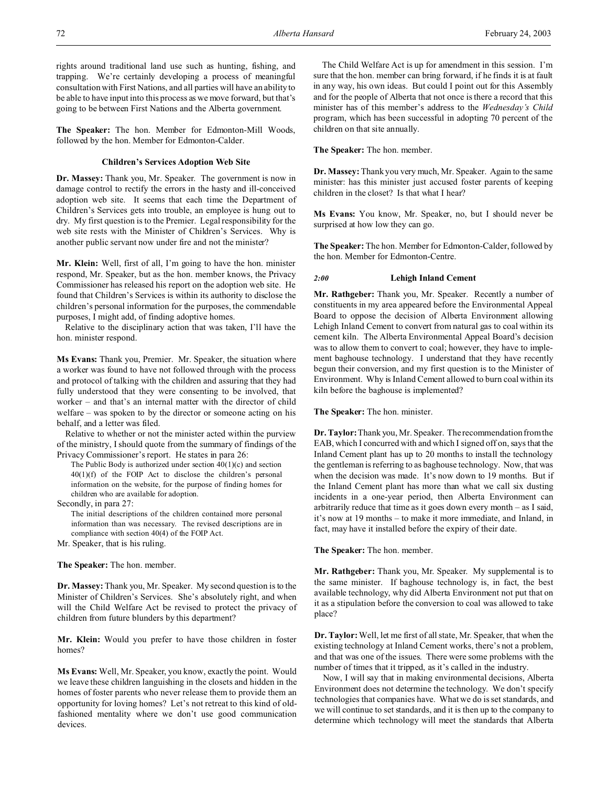rights around traditional land use such as hunting, fishing, and trapping. We're certainly developing a process of meaningful consultation with First Nations, and all parties will have an ability to be able to have input into this process as we move forward, but that's going to be between First Nations and the Alberta government.

**The Speaker:** The hon. Member for Edmonton-Mill Woods, followed by the hon. Member for Edmonton-Calder.

### **Children's Services Adoption Web Site**

**Dr. Massey:** Thank you, Mr. Speaker. The government is now in damage control to rectify the errors in the hasty and ill-conceived adoption web site. It seems that each time the Department of Children's Services gets into trouble, an employee is hung out to dry. My first question is to the Premier. Legal responsibility for the web site rests with the Minister of Children's Services. Why is another public servant now under fire and not the minister?

**Mr. Klein:** Well, first of all, I'm going to have the hon. minister respond, Mr. Speaker, but as the hon. member knows, the Privacy Commissioner has released his report on the adoption web site. He found that Children's Services is within its authority to disclose the children's personal information for the purposes, the commendable purposes, I might add, of finding adoptive homes.

Relative to the disciplinary action that was taken, I'll have the hon. minister respond.

**Ms Evans:** Thank you, Premier. Mr. Speaker, the situation where a worker was found to have not followed through with the process and protocol of talking with the children and assuring that they had fully understood that they were consenting to be involved, that worker – and that's an internal matter with the director of child welfare – was spoken to by the director or someone acting on his behalf, and a letter was filed.

Relative to whether or not the minister acted within the purview of the ministry, I should quote from the summary of findings of the Privacy Commissioner's report. He states in para 26:

The Public Body is authorized under section  $40(1)(c)$  and section 40(1)(f) of the FOIP Act to disclose the children's personal information on the website, for the purpose of finding homes for children who are available for adoption.

Secondly, in para 27:

The initial descriptions of the children contained more personal information than was necessary. The revised descriptions are in compliance with section 40(4) of the FOIP Act.

Mr. Speaker, that is his ruling.

**The Speaker:** The hon. member.

**Dr. Massey:** Thank you, Mr. Speaker. My second question is to the Minister of Children's Services. She's absolutely right, and when will the Child Welfare Act be revised to protect the privacy of children from future blunders by this department?

**Mr. Klein:** Would you prefer to have those children in foster homes?

**Ms Evans:** Well, Mr. Speaker, you know, exactly the point. Would we leave these children languishing in the closets and hidden in the homes of foster parents who never release them to provide them an opportunity for loving homes? Let's not retreat to this kind of oldfashioned mentality where we don't use good communication devices.

The Child Welfare Act is up for amendment in this session. I'm sure that the hon. member can bring forward, if he finds it is at fault in any way, his own ideas. But could I point out for this Assembly and for the people of Alberta that not once is there a record that this minister has of this member's address to the *Wednesday's Child* program, which has been successful in adopting 70 percent of the children on that site annually.

**The Speaker:** The hon. member.

**Dr. Massey:** Thank you very much, Mr. Speaker. Again to the same minister: has this minister just accused foster parents of keeping children in the closet? Is that what I hear?

**Ms Evans:** You know, Mr. Speaker, no, but I should never be surprised at how low they can go.

**The Speaker:** The hon. Member for Edmonton-Calder, followed by the hon. Member for Edmonton-Centre.

## *2:00* **Lehigh Inland Cement**

**Mr. Rathgeber:** Thank you, Mr. Speaker. Recently a number of constituents in my area appeared before the Environmental Appeal Board to oppose the decision of Alberta Environment allowing Lehigh Inland Cement to convert from natural gas to coal within its cement kiln. The Alberta Environmental Appeal Board's decision was to allow them to convert to coal; however, they have to implement baghouse technology. I understand that they have recently begun their conversion, and my first question is to the Minister of Environment. Why is Inland Cement allowed to burn coal within its kiln before the baghouse is implemented?

**The Speaker:** The hon. minister.

**Dr. Taylor:**Thank you, Mr. Speaker. The recommendation from the EAB, which I concurred with and which I signed off on, says that the Inland Cement plant has up to 20 months to install the technology the gentleman is referring to as baghouse technology. Now, that was when the decision was made. It's now down to 19 months. But if the Inland Cement plant has more than what we call six dusting incidents in a one-year period, then Alberta Environment can arbitrarily reduce that time as it goes down every month – as I said, it's now at 19 months – to make it more immediate, and Inland, in fact, may have it installed before the expiry of their date.

**The Speaker:** The hon. member.

**Mr. Rathgeber:** Thank you, Mr. Speaker. My supplemental is to the same minister. If baghouse technology is, in fact, the best available technology, why did Alberta Environment not put that on it as a stipulation before the conversion to coal was allowed to take place?

**Dr. Taylor:**Well, let me first of all state, Mr. Speaker, that when the existing technology at Inland Cement works, there's not a problem, and that was one of the issues. There were some problems with the number of times that it tripped, as it's called in the industry.

Now, I will say that in making environmental decisions, Alberta Environment does not determine the technology. We don't specify technologies that companies have. What we do is set standards, and we will continue to set standards, and it is then up to the company to determine which technology will meet the standards that Alberta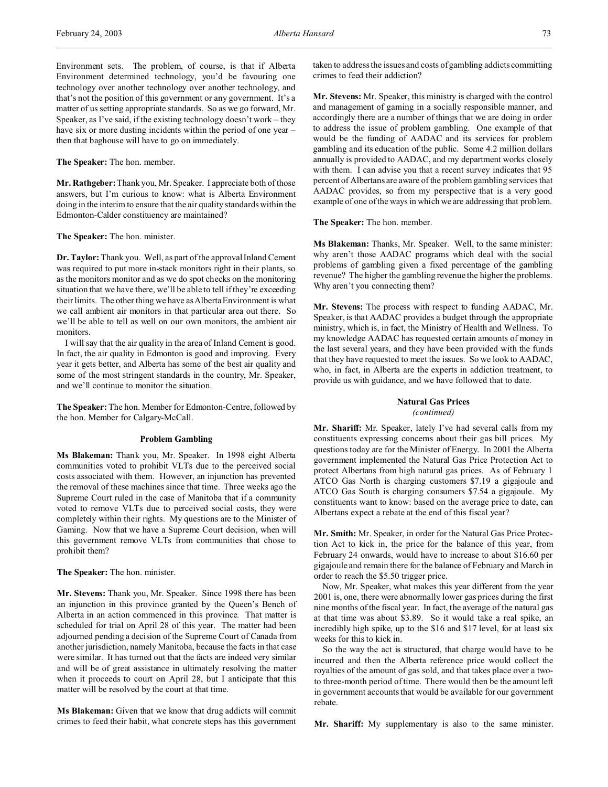Environment sets. The problem, of course, is that if Alberta Environment determined technology, you'd be favouring one technology over another technology over another technology, and that's not the position of this government or any government. It's a matter of us setting appropriate standards. So as we go forward, Mr. Speaker, as I've said, if the existing technology doesn't work – they have six or more dusting incidents within the period of one year then that baghouse will have to go on immediately.

### **The Speaker:** The hon. member.

**Mr. Rathgeber:** Thank you, Mr. Speaker. I appreciate both of those answers, but I'm curious to know: what is Alberta Environment doing in the interim to ensure that the air quality standards within the Edmonton-Calder constituency are maintained?

**The Speaker:** The hon. minister.

**Dr. Taylor:** Thank you. Well, as part of the approval Inland Cement was required to put more in-stack monitors right in their plants, so as the monitors monitor and as we do spot checks on the monitoring situation that we have there, we'll be able to tell if they're exceeding their limits. The other thing we have as Alberta Environment is what we call ambient air monitors in that particular area out there. So we'll be able to tell as well on our own monitors, the ambient air monitors.

I will say that the air quality in the area of Inland Cement is good. In fact, the air quality in Edmonton is good and improving. Every year it gets better, and Alberta has some of the best air quality and some of the most stringent standards in the country, Mr. Speaker, and we'll continue to monitor the situation.

**The Speaker:** The hon. Member for Edmonton-Centre, followed by the hon. Member for Calgary-McCall.

#### **Problem Gambling**

**Ms Blakeman:** Thank you, Mr. Speaker. In 1998 eight Alberta communities voted to prohibit VLTs due to the perceived social costs associated with them. However, an injunction has prevented the removal of these machines since that time. Three weeks ago the Supreme Court ruled in the case of Manitoba that if a community voted to remove VLTs due to perceived social costs, they were completely within their rights. My questions are to the Minister of Gaming. Now that we have a Supreme Court decision, when will this government remove VLTs from communities that chose to prohibit them?

**The Speaker:** The hon. minister.

**Mr. Stevens:** Thank you, Mr. Speaker. Since 1998 there has been an injunction in this province granted by the Queen's Bench of Alberta in an action commenced in this province. That matter is scheduled for trial on April 28 of this year. The matter had been adjourned pending a decision of the Supreme Court of Canada from another jurisdiction, namely Manitoba, because the facts in that case were similar. It has turned out that the facts are indeed very similar and will be of great assistance in ultimately resolving the matter when it proceeds to court on April 28, but I anticipate that this matter will be resolved by the court at that time.

**Ms Blakeman:** Given that we know that drug addicts will commit crimes to feed their habit, what concrete steps has this government taken to address the issues and costs of gambling addicts committing crimes to feed their addiction?

**Mr. Stevens:** Mr. Speaker, this ministry is charged with the control and management of gaming in a socially responsible manner, and accordingly there are a number of things that we are doing in order to address the issue of problem gambling. One example of that would be the funding of AADAC and its services for problem gambling and its education of the public. Some 4.2 million dollars annually is provided to AADAC, and my department works closely with them. I can advise you that a recent survey indicates that 95 percent of Albertans are aware of the problem gambling services that AADAC provides, so from my perspective that is a very good example of one of the ways in which we are addressing that problem.

**The Speaker:** The hon. member.

**Ms Blakeman:** Thanks, Mr. Speaker. Well, to the same minister: why aren't those AADAC programs which deal with the social problems of gambling given a fixed percentage of the gambling revenue? The higher the gambling revenue the higher the problems. Why aren't you connecting them?

**Mr. Stevens:** The process with respect to funding AADAC, Mr. Speaker, is that AADAC provides a budget through the appropriate ministry, which is, in fact, the Ministry of Health and Wellness. To my knowledge AADAC has requested certain amounts of money in the last several years, and they have been provided with the funds that they have requested to meet the issues. So we look to AADAC, who, in fact, in Alberta are the experts in addiction treatment, to provide us with guidance, and we have followed that to date.

### **Natural Gas Prices** *(continued)*

**Mr. Shariff:** Mr. Speaker, lately I've had several calls from my constituents expressing concerns about their gas bill prices. My questions today are for the Minister of Energy. In 2001 the Alberta government implemented the Natural Gas Price Protection Act to protect Albertans from high natural gas prices. As of February 1 ATCO Gas North is charging customers \$7.19 a gigajoule and ATCO Gas South is charging consumers \$7.54 a gigajoule. My constituents want to know: based on the average price to date, can Albertans expect a rebate at the end of this fiscal year?

**Mr. Smith:** Mr. Speaker, in order for the Natural Gas Price Protection Act to kick in, the price for the balance of this year, from February 24 onwards, would have to increase to about \$16.60 per gigajoule and remain there for the balance of February and March in order to reach the \$5.50 trigger price.

Now, Mr. Speaker, what makes this year different from the year 2001 is, one, there were abnormally lower gas prices during the first nine months of the fiscal year. In fact, the average of the natural gas at that time was about \$3.89. So it would take a real spike, an incredibly high spike, up to the \$16 and \$17 level, for at least six weeks for this to kick in.

So the way the act is structured, that charge would have to be incurred and then the Alberta reference price would collect the royalties of the amount of gas sold, and that takes place over a twoto three-month period of time. There would then be the amount left in government accounts that would be available for our government rebate.

**Mr. Shariff:** My supplementary is also to the same minister.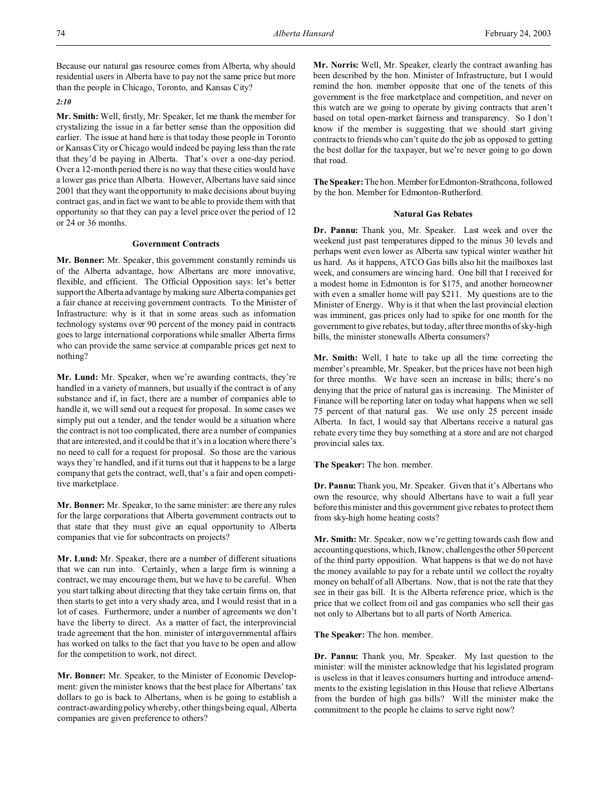Because our natural gas resource comes from Alberta, why should residential users in Alberta have to pay not the same price but more than the people in Chicago, Toronto, and Kansas City?

#### *2:10*

**Mr. Smith:** Well, firstly, Mr. Speaker, let me thank the member for crystalizing the issue in a far better sense than the opposition did earlier. The issue at hand here is that today those people in Toronto or Kansas City or Chicago would indeed be paying less than the rate that they'd be paying in Alberta. That's over a one-day period. Over a 12-month period there is no way that these cities would have a lower gas price than Alberta. However, Albertans have said since 2001 that they want the opportunity to make decisions about buying contract gas, and in fact we want to be able to provide them with that opportunity so that they can pay a level price over the period of 12 or 24 or 36 months.

### **Government Contracts**

**Mr. Bonner:** Mr. Speaker, this government constantly reminds us of the Alberta advantage, how Albertans are more innovative, flexible, and efficient. The Official Opposition says: let's better support the Alberta advantage by making sure Alberta companies get a fair chance at receiving government contracts. To the Minister of Infrastructure: why is it that in some areas such as information technology systems over 90 percent of the money paid in contracts goes to large international corporations while smaller Alberta firms who can provide the same service at comparable prices get next to nothing?

**Mr. Lund:** Mr. Speaker, when we're awarding contracts, they're handled in a variety of manners, but usually if the contract is of any substance and if, in fact, there are a number of companies able to handle it, we will send out a request for proposal. In some cases we simply put out a tender, and the tender would be a situation where the contract is not too complicated, there are a number of companies that are interested, and it could be that it's in a location where there's no need to call for a request for proposal. So those are the various ways they're handled, and if it turns out that it happens to be a large company that gets the contract, well, that's a fair and open competitive marketplace.

**Mr. Bonner:** Mr. Speaker, to the same minister: are there any rules for the large corporations that Alberta government contracts out to that state that they must give an equal opportunity to Alberta companies that vie for subcontracts on projects?

**Mr. Lund:** Mr. Speaker, there are a number of different situations that we can run into. Certainly, when a large firm is winning a contract, we may encourage them, but we have to be careful. When you start talking about directing that they take certain firms on, that then starts to get into a very shady area, and I would resist that in a lot of cases. Furthermore, under a number of agreements we don't have the liberty to direct. As a matter of fact, the interprovincial trade agreement that the hon. minister of intergovernmental affairs has worked on talks to the fact that you have to be open and allow for the competition to work, not direct.

**Mr. Bonner:** Mr. Speaker, to the Minister of Economic Development: given the minister knows that the best place for Albertans' tax dollars to go is back to Albertans, when is he going to establish a contract-awarding policy whereby, other things being equal, Alberta companies are given preference to others?

**Mr. Norris:** Well, Mr. Speaker, clearly the contract awarding has been described by the hon. Minister of Infrastructure, but I would remind the hon. member opposite that one of the tenets of this government is the free marketplace and competition, and never on this watch are we going to operate by giving contracts that aren't based on total open-market fairness and transparency. So I don't know if the member is suggesting that we should start giving contracts to friends who can't quite do the job as opposed to getting the best dollar for the taxpayer, but we're never going to go down that road.

**The Speaker:** The hon. Member forEdmonton-Strathcona, followed by the hon. Member for Edmonton-Rutherford.

#### **Natural Gas Rebates**

**Dr. Pannu:** Thank you, Mr. Speaker. Last week and over the weekend just past temperatures dipped to the minus 30 levels and perhaps went even lower as Alberta saw typical winter weather hit us hard. As it happens, ATCO Gas bills also hit the mailboxes last week, and consumers are wincing hard. One bill that I received for a modest home in Edmonton is for \$175, and another homeowner with even a smaller home will pay \$211. My questions are to the Minister of Energy. Why is it that when the last provincial election was imminent, gas prices only had to spike for one month for the government to give rebates, but today, after three months of sky-high bills, the minister stonewalls Alberta consumers?

**Mr. Smith:** Well, I hate to take up all the time correcting the member's preamble, Mr. Speaker, but the prices have not been high for three months. We have seen an increase in bills; there's no denying that the price of natural gas is increasing. The Minister of Finance will be reporting later on today what happens when we sell 75 percent of that natural gas. We use only 25 percent inside Alberta. In fact, I would say that Albertans receive a natural gas rebate every time they buy something at a store and are not charged provincial sales tax.

**The Speaker:** The hon. member.

**Dr. Pannu:** Thank you, Mr. Speaker. Given that it's Albertans who own the resource, why should Albertans have to wait a full year before this minister and this government give rebates to protect them from sky-high home heating costs?

**Mr. Smith:** Mr. Speaker, now we're getting towards cash flow and accounting questions, which, I know, challenges the other 50 percent of the third party opposition. What happens is that we do not have the money available to pay for a rebate until we collect the royalty money on behalf of all Albertans. Now, that is not the rate that they see in their gas bill. It is the Alberta reference price, which is the price that we collect from oil and gas companies who sell their gas not only to Albertans but to all parts of North America.

**The Speaker:** The hon. member.

**Dr. Pannu:** Thank you, Mr. Speaker. My last question to the minister: will the minister acknowledge that his legislated program is useless in that it leaves consumers hurting and introduce amendments to the existing legislation in this House that relieve Albertans from the burden of high gas bills? Will the minister make the commitment to the people he claims to serve right now?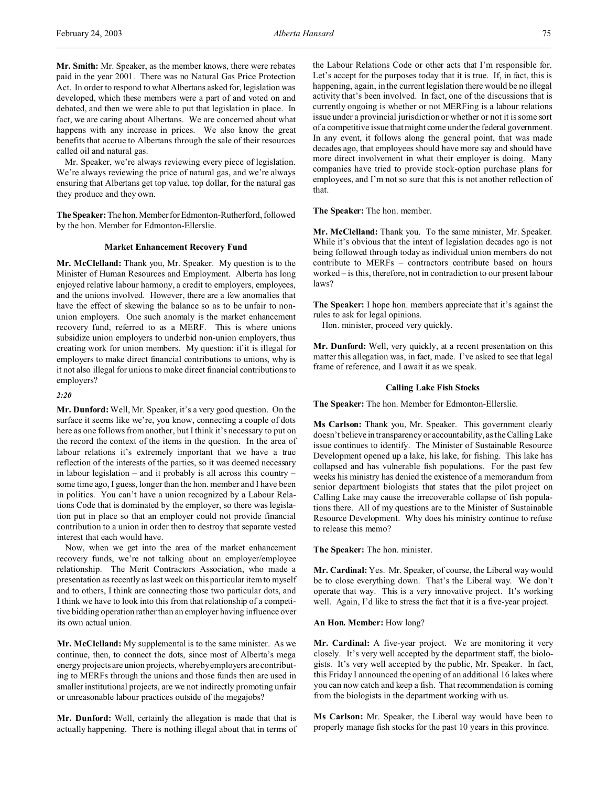Mr. Speaker, we're always reviewing every piece of legislation. We're always reviewing the price of natural gas, and we're always ensuring that Albertans get top value, top dollar, for the natural gas they produce and they own.

**The Speaker:**Thehon.MemberforEdmonton-Rutherford, followed by the hon. Member for Edmonton-Ellerslie.

## **Market Enhancement Recovery Fund**

**Mr. McClelland:** Thank you, Mr. Speaker. My question is to the Minister of Human Resources and Employment. Alberta has long enjoyed relative labour harmony, a credit to employers, employees, and the unions involved. However, there are a few anomalies that have the effect of skewing the balance so as to be unfair to nonunion employers. One such anomaly is the market enhancement recovery fund, referred to as a MERF. This is where unions subsidize union employers to underbid non-union employers, thus creating work for union members. My question: if it is illegal for employers to make direct financial contributions to unions, why is it not also illegal for unions to make direct financial contributions to employers?

## *2:20*

**Mr. Dunford:** Well, Mr. Speaker, it's a very good question. On the surface it seems like we're, you know, connecting a couple of dots here as one follows from another, but I think it's necessary to put on the record the context of the items in the question. In the area of labour relations it's extremely important that we have a true reflection of the interests of the parties, so it was deemed necessary in labour legislation – and it probably is all across this country – some time ago, I guess, longer than the hon. member and I have been in politics. You can't have a union recognized by a Labour Relations Code that is dominated by the employer, so there was legislation put in place so that an employer could not provide financial contribution to a union in order then to destroy that separate vested interest that each would have.

Now, when we get into the area of the market enhancement recovery funds, we're not talking about an employer/employee relationship. The Merit Contractors Association, who made a presentation as recently as last week on this particular item to myself and to others, I think are connecting those two particular dots, and I think we have to look into this from that relationship of a competitive bidding operation rather than an employer having influence over its own actual union.

**Mr. McClelland:** My supplemental is to the same minister. As we continue, then, to connect the dots, since most of Alberta's mega energy projects are union projects, whereby employers are contributing to MERFs through the unions and those funds then are used in smaller institutional projects, are we not indirectly promoting unfair or unreasonable labour practices outside of the megajobs?

**Mr. Dunford:** Well, certainly the allegation is made that that is actually happening. There is nothing illegal about that in terms of the Labour Relations Code or other acts that I'm responsible for. Let's accept for the purposes today that it is true. If, in fact, this is happening, again, in the current legislation there would be no illegal activity that's been involved. In fact, one of the discussions that is currently ongoing is whether or not MERFing is a labour relations issue under a provincial jurisdiction or whether or not it is some sort of a competitive issue that might come under the federal government. In any event, it follows along the general point, that was made decades ago, that employees should have more say and should have more direct involvement in what their employer is doing. Many companies have tried to provide stock-option purchase plans for employees, and I'm not so sure that this is not another reflection of that.

**The Speaker:** The hon. member.

**Mr. McClelland:** Thank you. To the same minister, Mr. Speaker. While it's obvious that the intent of legislation decades ago is not being followed through today as individual union members do not contribute to MERFs – contractors contribute based on hours worked – is this, therefore, not in contradiction to our present labour laws?

**The Speaker:** I hope hon. members appreciate that it's against the rules to ask for legal opinions.

Hon. minister, proceed very quickly.

**Mr. Dunford:** Well, very quickly, at a recent presentation on this matter this allegation was, in fact, made. I've asked to see that legal frame of reference, and I await it as we speak.

### **Calling Lake Fish Stocks**

**The Speaker:** The hon. Member for Edmonton-Ellerslie.

**Ms Carlson:** Thank you, Mr. Speaker. This government clearly doesn'tbelieve in transparency or accountability, as the Calling Lake issue continues to identify. The Minister of Sustainable Resource Development opened up a lake, his lake, for fishing. This lake has collapsed and has vulnerable fish populations. For the past few weeks his ministry has denied the existence of a memorandum from senior department biologists that states that the pilot project on Calling Lake may cause the irrecoverable collapse of fish populations there. All of my questions are to the Minister of Sustainable Resource Development. Why does his ministry continue to refuse to release this memo?

**The Speaker:** The hon. minister.

**Mr. Cardinal:** Yes. Mr. Speaker, of course, the Liberal way would be to close everything down. That's the Liberal way. We don't operate that way. This is a very innovative project. It's working well. Again, I'd like to stress the fact that it is a five-year project.

## **An Hon. Member:** How long?

**Mr. Cardinal:** A five-year project. We are monitoring it very closely. It's very well accepted by the department staff, the biologists. It's very well accepted by the public, Mr. Speaker. In fact, this Friday I announced the opening of an additional 16 lakes where you can now catch and keep a fish. That recommendation is coming from the biologists in the department working with us.

**Ms Carlson:** Mr. Speaker, the Liberal way would have been to properly manage fish stocks for the past 10 years in this province.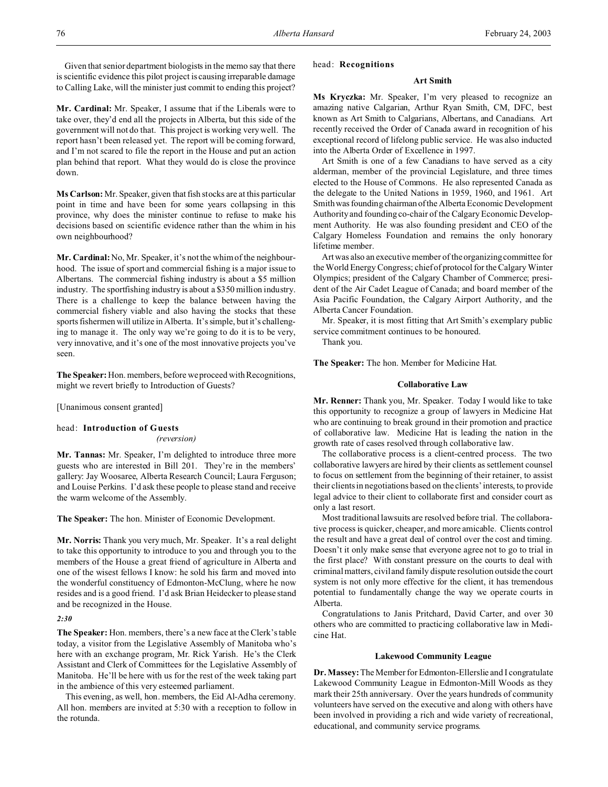Given that senior department biologists in the memo say that there is scientific evidence this pilot project is causing irreparable damage to Calling Lake, will the minister just commit to ending this project?

**Mr. Cardinal:** Mr. Speaker, I assume that if the Liberals were to take over, they'd end all the projects in Alberta, but this side of the government will not do that. This project is working very well. The report hasn't been released yet. The report will be coming forward, and I'm not scared to file the report in the House and put an action plan behind that report. What they would do is close the province down.

**Ms Carlson:** Mr. Speaker, given that fish stocks are at this particular point in time and have been for some years collapsing in this province, why does the minister continue to refuse to make his decisions based on scientific evidence rather than the whim in his own neighbourhood?

**Mr. Cardinal:** No, Mr. Speaker, it's not the whim of the neighbourhood. The issue of sport and commercial fishing is a major issue to Albertans. The commercial fishing industry is about a \$5 million industry. The sportfishing industry is about a \$350 million industry. There is a challenge to keep the balance between having the commercial fishery viable and also having the stocks that these sports fishermen will utilize in Alberta. It's simple, but it's challenging to manage it. The only way we're going to do it is to be very, very innovative, and it's one of the most innovative projects you've seen.

**The Speaker:** Hon. members, before we proceed with Recognitions, might we revert briefly to Introduction of Guests?

[Unanimous consent granted]

# head: **Introduction of Guests**

*(reversion)*

**Mr. Tannas:** Mr. Speaker, I'm delighted to introduce three more guests who are interested in Bill 201. They're in the members' gallery: Jay Woosaree, Alberta Research Council; Laura Ferguson; and Louise Perkins. I'd ask these people to please stand and receive the warm welcome of the Assembly.

**The Speaker:** The hon. Minister of Economic Development.

**Mr. Norris:** Thank you very much, Mr. Speaker. It's a real delight to take this opportunity to introduce to you and through you to the members of the House a great friend of agriculture in Alberta and one of the wisest fellows I know: he sold his farm and moved into the wonderful constituency of Edmonton-McClung, where he now resides and is a good friend. I'd ask Brian Heidecker to please stand and be recognized in the House.

#### *2:30*

**The Speaker:** Hon. members, there's a new face at the Clerk's table today, a visitor from the Legislative Assembly of Manitoba who's here with an exchange program, Mr. Rick Yarish. He's the Clerk Assistant and Clerk of Committees for the Legislative Assembly of Manitoba. He'll be here with us for the rest of the week taking part in the ambience of this very esteemed parliament.

This evening, as well, hon. members, the Eid Al-Adha ceremony. All hon. members are invited at 5:30 with a reception to follow in the rotunda.

### head: **Recognitions**

# **Art Smith**

**Ms Kryczka:** Mr. Speaker, I'm very pleased to recognize an amazing native Calgarian, Arthur Ryan Smith, CM, DFC, best known as Art Smith to Calgarians, Albertans, and Canadians. Art recently received the Order of Canada award in recognition of his exceptional record of lifelong public service. He was also inducted into the Alberta Order of Excellence in 1997.

Art Smith is one of a few Canadians to have served as a city alderman, member of the provincial Legislature, and three times elected to the House of Commons. He also represented Canada as the delegate to the United Nations in 1959, 1960, and 1961. Art Smith was founding chairmanofthe Alberta Economic Development Authority and founding co-chair of the Calgary Economic Development Authority. He was also founding president and CEO of the Calgary Homeless Foundation and remains the only honorary lifetime member.

Art was also an executive member of the organizing committee for the World Energy Congress; chief of protocol for the Calgary Winter Olympics; president of the Calgary Chamber of Commerce; president of the Air Cadet League of Canada; and board member of the Asia Pacific Foundation, the Calgary Airport Authority, and the Alberta Cancer Foundation.

Mr. Speaker, it is most fitting that Art Smith's exemplary public service commitment continues to be honoured.

Thank you.

**The Speaker:** The hon. Member for Medicine Hat.

#### **Collaborative Law**

**Mr. Renner:** Thank you, Mr. Speaker. Today I would like to take this opportunity to recognize a group of lawyers in Medicine Hat who are continuing to break ground in their promotion and practice of collaborative law. Medicine Hat is leading the nation in the growth rate of cases resolved through collaborative law.

The collaborative process is a client-centred process. The two collaborative lawyers are hired by their clients as settlement counsel to focus on settlement from the beginning of their retainer, to assist their clients in negotiations based on the clients' interests, to provide legal advice to their client to collaborate first and consider court as only a last resort.

Most traditional lawsuits are resolved before trial. The collaborative process is quicker, cheaper, and more amicable. Clients control the result and have a great deal of control over the cost and timing. Doesn't it only make sense that everyone agree not to go to trial in the first place? With constant pressure on the courts to deal with criminal matters, civil and family dispute resolution outside the court system is not only more effective for the client, it has tremendous potential to fundamentally change the way we operate courts in Alberta.

Congratulations to Janis Pritchard, David Carter, and over 30 others who are committed to practicing collaborative law in Medicine Hat.

### **Lakewood Community League**

**Dr. Massey:** The Member for Edmonton-Ellerslie and I congratulate Lakewood Community League in Edmonton-Mill Woods as they mark their 25th anniversary. Over the years hundreds of community volunteers have served on the executive and along with others have been involved in providing a rich and wide variety of recreational, educational, and community service programs.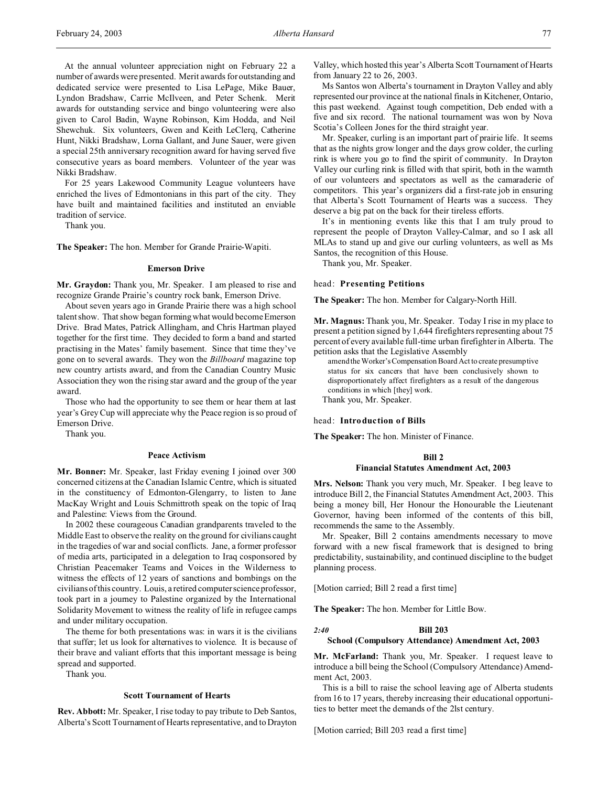At the annual volunteer appreciation night on February 22 a number of awards were presented. Merit awards for outstanding and dedicated service were presented to Lisa LePage, Mike Bauer, Lyndon Bradshaw, Carrie McIlveen, and Peter Schenk. Merit awards for outstanding service and bingo volunteering were also given to Carol Badin, Wayne Robinson, Kim Hodda, and Neil Shewchuk. Six volunteers, Gwen and Keith LeClerq, Catherine Hunt, Nikki Bradshaw, Lorna Gallant, and June Sauer, were given a special 25th anniversary recognition award for having served five consecutive years as board members. Volunteer of the year was Nikki Bradshaw.

For 25 years Lakewood Community League volunteers have enriched the lives of Edmontonians in this part of the city. They have built and maintained facilities and instituted an enviable tradition of service.

Thank you.

**The Speaker:** The hon. Member for Grande Prairie-Wapiti.

#### **Emerson Drive**

**Mr. Graydon:** Thank you, Mr. Speaker. I am pleased to rise and recognize Grande Prairie's country rock bank, Emerson Drive.

About seven years ago in Grande Prairie there was a high school talent show. That show began forming what would become Emerson Drive. Brad Mates, Patrick Allingham, and Chris Hartman played together for the first time. They decided to form a band and started practising in the Mates' family basement. Since that time they've gone on to several awards. They won the *Billboard* magazine top new country artists award, and from the Canadian Country Music Association they won the rising star award and the group of the year award.

Those who had the opportunity to see them or hear them at last year's Grey Cup will appreciate why the Peace region is so proud of Emerson Drive.

Thank you.

### **Peace Activism**

**Mr. Bonner:** Mr. Speaker, last Friday evening I joined over 300 concerned citizens at the Canadian Islamic Centre, which is situated in the constituency of Edmonton-Glengarry, to listen to Jane MacKay Wright and Louis Schmittroth speak on the topic of Iraq and Palestine: Views from the Ground.

In 2002 these courageous Canadian grandparents traveled to the Middle East to observe the reality on the ground for civilians caught in the tragedies of war and social conflicts. Jane, a former professor of media arts, participated in a delegation to Iraq cosponsored by Christian Peacemaker Teams and Voices in the Wilderness to witness the effects of 12 years of sanctions and bombings on the civilians of this country. Louis, a retired computer science professor, took part in a journey to Palestine organized by the International Solidarity Movement to witness the reality of life in refugee camps and under military occupation.

The theme for both presentations was: in wars it is the civilians that suffer; let us look for alternatives to violence. It is because of their brave and valiant efforts that this important message is being spread and supported.

Thank you.

#### **Scott Tournament of Hearts**

**Rev. Abbott:** Mr. Speaker, I rise today to pay tribute to Deb Santos, Alberta's Scott Tournament of Hearts representative, and to Drayton Valley, which hosted this year's Alberta Scott Tournament of Hearts from January 22 to 26, 2003.

Ms Santos won Alberta's tournament in Drayton Valley and ably represented our province at the national finals in Kitchener, Ontario, this past weekend. Against tough competition, Deb ended with a five and six record. The national tournament was won by Nova Scotia's Colleen Jones for the third straight year.

Mr. Speaker, curling is an important part of prairie life. It seems that as the nights grow longer and the days grow colder, the curling rink is where you go to find the spirit of community. In Drayton Valley our curling rink is filled with that spirit, both in the warmth of our volunteers and spectators as well as the camaraderie of competitors. This year's organizers did a first-rate job in ensuring that Alberta's Scott Tournament of Hearts was a success. They deserve a big pat on the back for their tireless efforts.

It's in mentioning events like this that I am truly proud to represent the people of Drayton Valley-Calmar, and so I ask all MLAs to stand up and give our curling volunteers, as well as Ms Santos, the recognition of this House.

Thank you, Mr. Speaker.

### head: **Presenting Petitions**

**The Speaker:** The hon. Member for Calgary-North Hill.

**Mr. Magnus:** Thank you, Mr. Speaker. Today I rise in my place to present a petition signed by 1,644 firefighters representing about 75 percent of every available full-time urban firefighter in Alberta. The petition asks that the Legislative Assembly

amend the Worker'sCompensation Board Act to create presumptive status for six cancers that have been conclusively shown to disproportionately affect firefighters as a result of the dangerous conditions in which [they] work. Thank you, Mr. Speaker.

head: **Introduction of Bills**

**The Speaker:** The hon. Minister of Finance.

#### **Bill 2**

### **Financial Statutes Amendment Act, 2003**

**Mrs. Nelson:** Thank you very much, Mr. Speaker. I beg leave to introduce Bill 2, the Financial Statutes Amendment Act, 2003. This being a money bill, Her Honour the Honourable the Lieutenant Governor, having been informed of the contents of this bill, recommends the same to the Assembly.

Mr. Speaker, Bill 2 contains amendments necessary to move forward with a new fiscal framework that is designed to bring predictability, sustainability, and continued discipline to the budget planning process.

[Motion carried; Bill 2 read a first time]

**The Speaker:** The hon. Member for Little Bow.

*2:40* **Bill 203**

#### **School (Compulsory Attendance) Amendment Act, 2003**

**Mr. McFarland:** Thank you, Mr. Speaker. I request leave to introduce a bill being the School (Compulsory Attendance) Amendment Act, 2003.

This is a bill to raise the school leaving age of Alberta students from 16 to 17 years, thereby increasing their educational opportunities to better meet the demands of the 2lst century.

[Motion carried; Bill 203 read a first time]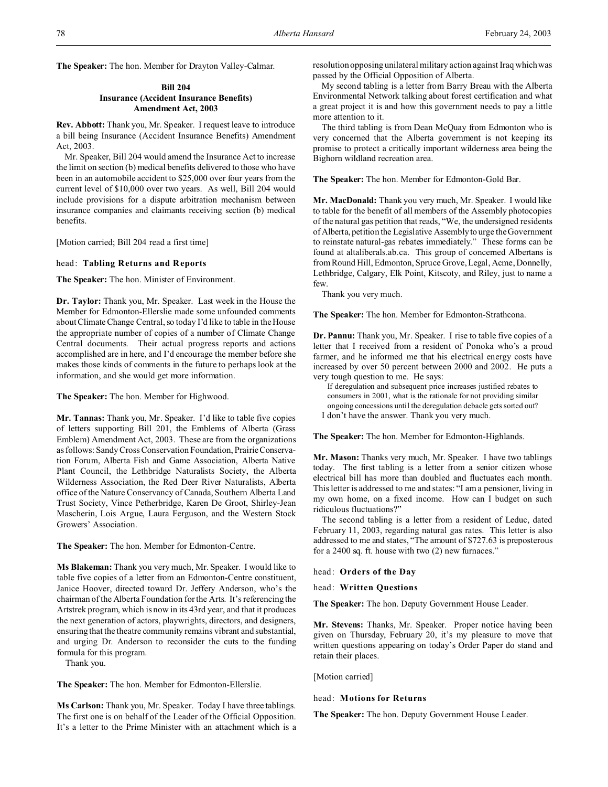**The Speaker:** The hon. Member for Drayton Valley-Calmar.

# **Bill 204 Insurance (Accident Insurance Benefits) Amendment Act, 2003**

**Rev. Abbott:** Thank you, Mr. Speaker. I request leave to introduce a bill being Insurance (Accident Insurance Benefits) Amendment Act, 2003.

Mr. Speaker, Bill 204 would amend the Insurance Act to increase the limit on section (b) medical benefits delivered to those who have been in an automobile accident to \$25,000 over four years from the current level of \$10,000 over two years. As well, Bill 204 would include provisions for a dispute arbitration mechanism between insurance companies and claimants receiving section (b) medical benefits.

[Motion carried; Bill 204 read a first time]

### head: **Tabling Returns and Reports**

**The Speaker:** The hon. Minister of Environment.

**Dr. Taylor:** Thank you, Mr. Speaker. Last week in the House the Member for Edmonton-Ellerslie made some unfounded comments about Climate Change Central, so today I'd like to table in the House the appropriate number of copies of a number of Climate Change Central documents. Their actual progress reports and actions accomplished are in here, and I'd encourage the member before she makes those kinds of comments in the future to perhaps look at the information, and she would get more information.

**The Speaker:** The hon. Member for Highwood.

**Mr. Tannas:** Thank you, Mr. Speaker. I'd like to table five copies of letters supporting Bill 201, the Emblems of Alberta (Grass Emblem) Amendment Act, 2003. These are from the organizations as follows: Sandy Cross Conservation Foundation, PrairieConservation Forum, Alberta Fish and Game Association, Alberta Native Plant Council, the Lethbridge Naturalists Society, the Alberta Wilderness Association, the Red Deer River Naturalists, Alberta office of the Nature Conservancy of Canada, Southern Alberta Land Trust Society, Vince Petherbridge, Karen De Groot, Shirley-Jean Mascherin, Lois Argue, Laura Ferguson, and the Western Stock Growers' Association.

**The Speaker:** The hon. Member for Edmonton-Centre.

**Ms Blakeman:** Thank you very much, Mr. Speaker. I would like to table five copies of a letter from an Edmonton-Centre constituent, Janice Hoover, directed toward Dr. Jeffery Anderson, who's the chairman of the Alberta Foundation for the Arts. It's referencing the Artstrek program, which is now in its 43rd year, and that it produces the next generation of actors, playwrights, directors, and designers, ensuring that the theatre community remains vibrant and substantial, and urging Dr. Anderson to reconsider the cuts to the funding formula for this program.

Thank you.

**The Speaker:** The hon. Member for Edmonton-Ellerslie.

**Ms Carlson:** Thank you, Mr. Speaker. Today I have three tablings. The first one is on behalf of the Leader of the Official Opposition. It's a letter to the Prime Minister with an attachment which is a resolution opposing unilateral military action against Iraq which was passed by the Official Opposition of Alberta.

My second tabling is a letter from Barry Breau with the Alberta Environmental Network talking about forest certification and what a great project it is and how this government needs to pay a little more attention to it.

The third tabling is from Dean McQuay from Edmonton who is very concerned that the Alberta government is not keeping its promise to protect a critically important wilderness area being the Bighorn wildland recreation area.

**The Speaker:** The hon. Member for Edmonton-Gold Bar.

**Mr. MacDonald:** Thank you very much, Mr. Speaker. I would like to table for the benefit of all members of the Assembly photocopies of the natural gas petition that reads, "We, the undersigned residents of Alberta, petition the Legislative Assemblyto urge the Government to reinstate natural-gas rebates immediately." These forms can be found at altaliberals.ab.ca. This group of concerned Albertans is from Round Hill, Edmonton, Spruce Grove, Legal, Acme, Donnelly, Lethbridge, Calgary, Elk Point, Kitscoty, and Riley, just to name a few.

Thank you very much.

**The Speaker:** The hon. Member for Edmonton-Strathcona.

**Dr. Pannu:** Thank you, Mr. Speaker. I rise to table five copies of a letter that I received from a resident of Ponoka who's a proud farmer, and he informed me that his electrical energy costs have increased by over 50 percent between 2000 and 2002. He puts a very tough question to me. He says:

If deregulation and subsequent price increases justified rebates to consumers in 2001, what is the rationale for not providing similar ongoing concessions until the deregulation debacle gets sorted out? I don't have the answer. Thank you very much.

**The Speaker:** The hon. Member for Edmonton-Highlands.

**Mr. Mason:** Thanks very much, Mr. Speaker. I have two tablings today. The first tabling is a letter from a senior citizen whose electrical bill has more than doubled and fluctuates each month. This letter is addressed to me and states: "I am a pensioner, living in my own home, on a fixed income. How can I budget on such ridiculous fluctuations?"

The second tabling is a letter from a resident of Leduc, dated February 11, 2003, regarding natural gas rates. This letter is also addressed to me and states, "The amount of \$727.63 is preposterous for a 2400 sq. ft. house with two (2) new furnaces."

head: **Orders of the Day**

head: **Written Questions**

**The Speaker:** The hon. Deputy Government House Leader.

**Mr. Stevens:** Thanks, Mr. Speaker. Proper notice having been given on Thursday, February 20, it's my pleasure to move that written questions appearing on today's Order Paper do stand and retain their places.

[Motion carried]

head: **Motions for Returns**

**The Speaker:** The hon. Deputy Government House Leader.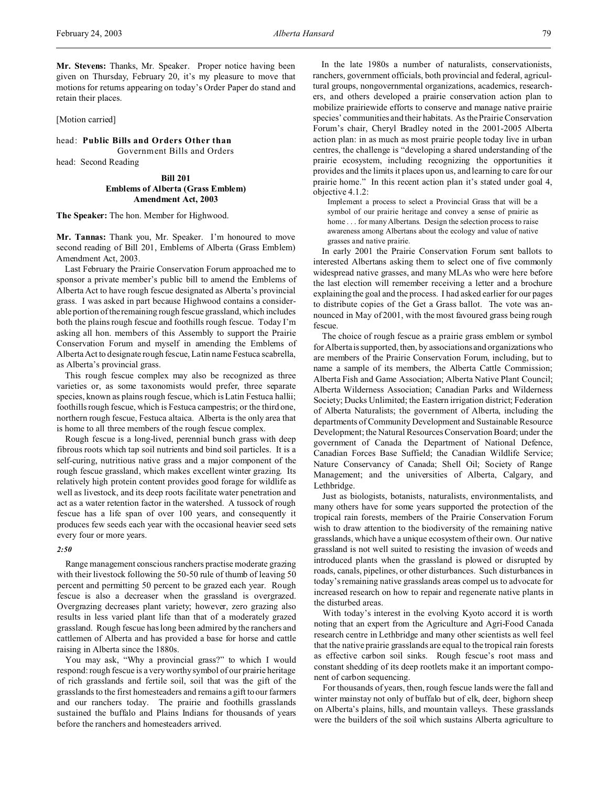**Mr. Stevens:** Thanks, Mr. Speaker. Proper notice having been given on Thursday, February 20, it's my pleasure to move that motions for returns appearing on today's Order Paper do stand and retain their places.

### [Motion carried]

head: **Public Bills and Orders Other than** Government Bills and Orders head: Second Reading

> **Bill 201 Emblems of Alberta (Grass Emblem) Amendment Act, 2003**

**The Speaker:** The hon. Member for Highwood.

**Mr. Tannas:** Thank you, Mr. Speaker. I'm honoured to move second reading of Bill 201, Emblems of Alberta (Grass Emblem) Amendment Act, 2003.

Last February the Prairie Conservation Forum approached me to sponsor a private member's public bill to amend the Emblems of Alberta Act to have rough fescue designated as Alberta's provincial grass. I was asked in part because Highwood contains a considerable portion of the remaining rough fescue grassland, which includes both the plains rough fescue and foothills rough fescue. Today I'm asking all hon. members of this Assembly to support the Prairie Conservation Forum and myself in amending the Emblems of Alberta Act to designate rough fescue, Latin name Festuca scabrella, as Alberta's provincial grass.

This rough fescue complex may also be recognized as three varieties or, as some taxonomists would prefer, three separate species, known as plains rough fescue, which is Latin Festuca hallii; foothills rough fescue, which is Festuca campestris; or the third one, northern rough fescue, Festuca altaica. Alberta is the only area that is home to all three members of the rough fescue complex.

Rough fescue is a long-lived, perennial bunch grass with deep fibrous roots which tap soil nutrients and bind soil particles. It is a self-curing, nutritious native grass and a major component of the rough fescue grassland, which makes excellent winter grazing. Its relatively high protein content provides good forage for wildlife as well as livestock, and its deep roots facilitate water penetration and act as a water retention factor in the watershed. A tussock of rough fescue has a life span of over 100 years, and consequently it produces few seeds each year with the occasional heavier seed sets every four or more years.

#### *2:50*

Range management conscious ranchers practise moderate grazing with their livestock following the 50-50 rule of thumb of leaving 50 percent and permitting 50 percent to be grazed each year. Rough fescue is also a decreaser when the grassland is overgrazed. Overgrazing decreases plant variety; however, zero grazing also results in less varied plant life than that of a moderately grazed grassland. Rough fescue has long been admired by the ranchers and cattlemen of Alberta and has provided a base for horse and cattle raising in Alberta since the 1880s.

You may ask, "Why a provincial grass?" to which I would respond: rough fescue is a very worthy symbol of our prairie heritage of rich grasslands and fertile soil, soil that was the gift of the grasslands to the first homesteaders and remains a gift to our farmers and our ranchers today. The prairie and foothills grasslands sustained the buffalo and Plains Indians for thousands of years before the ranchers and homesteaders arrived.

In the late 1980s a number of naturalists, conservationists, ranchers, government officials, both provincial and federal, agricultural groups, nongovernmental organizations, academics, researchers, and others developed a prairie conservation action plan to mobilize prairiewide efforts to conserve and manage native prairie species' communities and their habitats. As the Prairie Conservation Forum's chair, Cheryl Bradley noted in the 2001-2005 Alberta action plan: in as much as most prairie people today live in urban centres, the challenge is "developing a shared understanding of the prairie ecosystem, including recognizing the opportunities it provides and the limits it places upon us, and learning to care for our prairie home." In this recent action plan it's stated under goal 4, objective 4.1.2:

Implement a process to select a Provincial Grass that will be a symbol of our prairie heritage and convey a sense of prairie as home . . . for many Albertans. Design the selection process to raise awareness among Albertans about the ecology and value of native grasses and native prairie.

In early 2001 the Prairie Conservation Forum sent ballots to interested Albertans asking them to select one of five commonly widespread native grasses, and many MLAs who were here before the last election will remember receiving a letter and a brochure explaining the goal and the process. I had asked earlier for our pages to distribute copies of the Get a Grass ballot. The vote was announced in May of 2001, with the most favoured grass being rough fescue.

The choice of rough fescue as a prairie grass emblem or symbol for Alberta is supported, then, by associations and organizations who are members of the Prairie Conservation Forum, including, but to name a sample of its members, the Alberta Cattle Commission; Alberta Fish and Game Association; Alberta Native Plant Council; Alberta Wilderness Association; Canadian Parks and Wilderness Society; Ducks Unlimited; the Eastern irrigation district; Federation of Alberta Naturalists; the government of Alberta, including the departments of Community Development and Sustainable Resource Development; the Natural Resources Conservation Board; under the government of Canada the Department of National Defence, Canadian Forces Base Suffield; the Canadian Wildlife Service; Nature Conservancy of Canada; Shell Oil; Society of Range Management; and the universities of Alberta, Calgary, and Lethbridge.

Just as biologists, botanists, naturalists, environmentalists, and many others have for some years supported the protection of the tropical rain forests, members of the Prairie Conservation Forum wish to draw attention to the biodiversity of the remaining native grasslands, which have a unique ecosystem of their own. Our native grassland is not well suited to resisting the invasion of weeds and introduced plants when the grassland is plowed or disrupted by roads, canals, pipelines, or other disturbances. Such disturbances in today's remaining native grasslands areas compel us to advocate for increased research on how to repair and regenerate native plants in the disturbed areas.

With today's interest in the evolving Kyoto accord it is worth noting that an expert from the Agriculture and Agri-Food Canada research centre in Lethbridge and many other scientists as well feel that the native prairie grasslands are equal to the tropical rain forests as effective carbon soil sinks. Rough fescue's root mass and constant shedding of its deep rootlets make it an important component of carbon sequencing.

For thousands of years, then, rough fescue lands were the fall and winter mainstay not only of buffalo but of elk, deer, bighorn sheep on Alberta's plains, hills, and mountain valleys. These grasslands were the builders of the soil which sustains Alberta agriculture to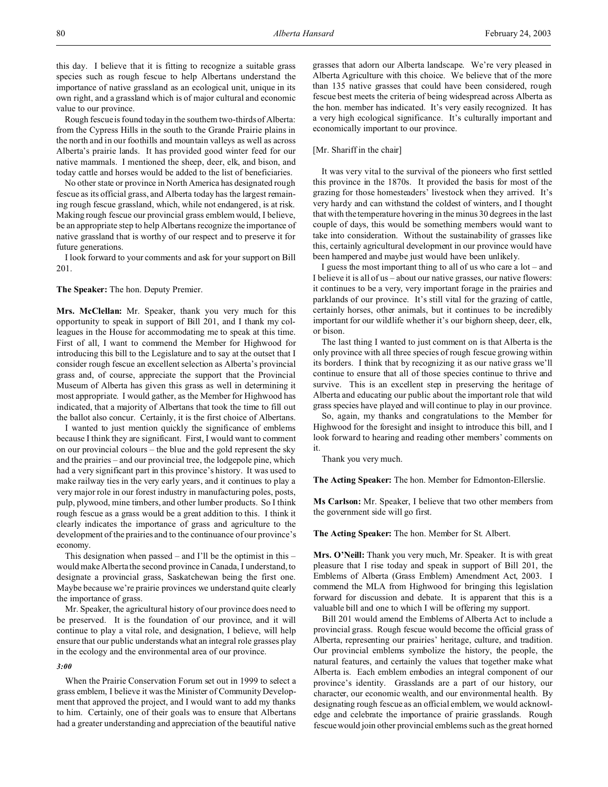this day. I believe that it is fitting to recognize a suitable grass species such as rough fescue to help Albertans understand the importance of native grassland as an ecological unit, unique in its own right, and a grassland which is of major cultural and economic value to our province.

Rough fescue is found today in the southern two-thirds of Alberta: from the Cypress Hills in the south to the Grande Prairie plains in the north and in our foothills and mountain valleys as well as across Alberta's prairie lands. It has provided good winter feed for our native mammals. I mentioned the sheep, deer, elk, and bison, and today cattle and horses would be added to the list of beneficiaries.

No other state or province in North America has designated rough fescue as its official grass, and Alberta today has the largest remaining rough fescue grassland, which, while not endangered, is at risk. Making rough fescue our provincial grass emblem would, I believe, be an appropriate step to help Albertans recognize the importance of native grassland that is worthy of our respect and to preserve it for future generations.

I look forward to your comments and ask for your support on Bill 201.

## **The Speaker:** The hon. Deputy Premier.

**Mrs. McClellan:** Mr. Speaker, thank you very much for this opportunity to speak in support of Bill 201, and I thank my colleagues in the House for accommodating me to speak at this time. First of all, I want to commend the Member for Highwood for introducing this bill to the Legislature and to say at the outset that I consider rough fescue an excellent selection as Alberta's provincial grass and, of course, appreciate the support that the Provincial Museum of Alberta has given this grass as well in determining it most appropriate. I would gather, as the Member for Highwood has indicated, that a majority of Albertans that took the time to fill out the ballot also concur. Certainly, it is the first choice of Albertans.

I wanted to just mention quickly the significance of emblems because I think they are significant. First, I would want to comment on our provincial colours – the blue and the gold represent the sky and the prairies – and our provincial tree, the lodgepole pine, which had a very significant part in this province's history. It was used to make railway ties in the very early years, and it continues to play a very major role in our forest industry in manufacturing poles, posts, pulp, plywood, mine timbers, and other lumber products. So I think rough fescue as a grass would be a great addition to this. I think it clearly indicates the importance of grass and agriculture to the development of the prairies and to the continuance of our province's economy.

This designation when passed – and I'll be the optimist in this – would make Alberta the second province in Canada, I understand, to designate a provincial grass, Saskatchewan being the first one. Maybe because we're prairie provinces we understand quite clearly the importance of grass.

Mr. Speaker, the agricultural history of our province does need to be preserved. It is the foundation of our province, and it will continue to play a vital role, and designation, I believe, will help ensure that our public understands what an integral role grasses play in the ecology and the environmental area of our province.

#### *3:00*

When the Prairie Conservation Forum set out in 1999 to select a grass emblem, I believe it was the Minister of Community Development that approved the project, and I would want to add my thanks to him. Certainly, one of their goals was to ensure that Albertans had a greater understanding and appreciation of the beautiful native grasses that adorn our Alberta landscape. We're very pleased in Alberta Agriculture with this choice. We believe that of the more than 135 native grasses that could have been considered, rough fescue best meets the criteria of being widespread across Alberta as the hon. member has indicated. It's very easily recognized. It has a very high ecological significance. It's culturally important and economically important to our province.

#### [Mr. Shariff in the chair]

It was very vital to the survival of the pioneers who first settled this province in the 1870s. It provided the basis for most of the grazing for those homesteaders' livestock when they arrived. It's very hardy and can withstand the coldest of winters, and I thought that with the temperature hovering in the minus 30 degrees in the last couple of days, this would be something members would want to take into consideration. Without the sustainability of grasses like this, certainly agricultural development in our province would have been hampered and maybe just would have been unlikely.

I guess the most important thing to all of us who care a lot – and I believe it is all of us – about our native grasses, our native flowers: it continues to be a very, very important forage in the prairies and parklands of our province. It's still vital for the grazing of cattle, certainly horses, other animals, but it continues to be incredibly important for our wildlife whether it's our bighorn sheep, deer, elk, or bison.

The last thing I wanted to just comment on is that Alberta is the only province with all three species of rough fescue growing within its borders. I think that by recognizing it as our native grass we'll continue to ensure that all of those species continue to thrive and survive. This is an excellent step in preserving the heritage of Alberta and educating our public about the important role that wild grass species have played and will continue to play in our province.

So, again, my thanks and congratulations to the Member for Highwood for the foresight and insight to introduce this bill, and I look forward to hearing and reading other members' comments on it.

Thank you very much.

**The Acting Speaker:** The hon. Member for Edmonton-Ellerslie.

**Ms Carlson:** Mr. Speaker, I believe that two other members from the government side will go first.

**The Acting Speaker:** The hon. Member for St. Albert.

**Mrs. O'Neill:** Thank you very much, Mr. Speaker. It is with great pleasure that I rise today and speak in support of Bill 201, the Emblems of Alberta (Grass Emblem) Amendment Act, 2003. I commend the MLA from Highwood for bringing this legislation forward for discussion and debate. It is apparent that this is a valuable bill and one to which I will be offering my support.

Bill 201 would amend the Emblems of Alberta Act to include a provincial grass. Rough fescue would become the official grass of Alberta, representing our prairies' heritage, culture, and tradition. Our provincial emblems symbolize the history, the people, the natural features, and certainly the values that together make what Alberta is. Each emblem embodies an integral component of our province's identity. Grasslands are a part of our history, our character, our economic wealth, and our environmental health. By designating rough fescue as an official emblem, we would acknowledge and celebrate the importance of prairie grasslands. Rough fescue would join other provincial emblems such as the great horned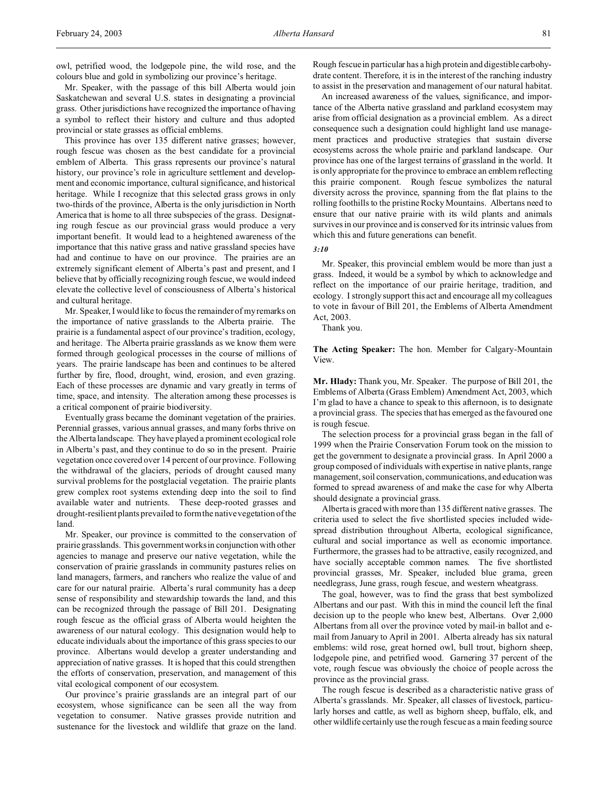owl, petrified wood, the lodgepole pine, the wild rose, and the colours blue and gold in symbolizing our province's heritage.

Mr. Speaker, with the passage of this bill Alberta would join Saskatchewan and several U.S. states in designating a provincial grass. Other jurisdictions have recognized the importance of having a symbol to reflect their history and culture and thus adopted provincial or state grasses as official emblems.

This province has over 135 different native grasses; however, rough fescue was chosen as the best candidate for a provincial emblem of Alberta. This grass represents our province's natural history, our province's role in agriculture settlement and development and economic importance, cultural significance, and historical heritage. While I recognize that this selected grass grows in only two-thirds of the province, Alberta is the only jurisdiction in North America that is home to all three subspecies of the grass. Designating rough fescue as our provincial grass would produce a very important benefit. It would lead to a heightened awareness of the importance that this native grass and native grassland species have had and continue to have on our province. The prairies are an extremely significant element of Alberta's past and present, and I believe that by officially recognizing rough fescue, we would indeed elevate the collective level of consciousness of Alberta's historical and cultural heritage.

Mr. Speaker, I would like to focus the remainder of my remarks on the importance of native grasslands to the Alberta prairie. The prairie is a fundamental aspect of our province's tradition, ecology, and heritage. The Alberta prairie grasslands as we know them were formed through geological processes in the course of millions of years. The prairie landscape has been and continues to be altered further by fire, flood, drought, wind, erosion, and even grazing. Each of these processes are dynamic and vary greatly in terms of time, space, and intensity. The alteration among these processes is a critical component of prairie biodiversity.

Eventually grass became the dominant vegetation of the prairies. Perennial grasses, various annual grasses, and many forbs thrive on the Alberta landscape. They have played a prominent ecological role in Alberta's past, and they continue to do so in the present. Prairie vegetation once covered over 14 percent of our province. Following the withdrawal of the glaciers, periods of drought caused many survival problems for the postglacial vegetation. The prairie plants grew complex root systems extending deep into the soil to find available water and nutrients. These deep-rooted grasses and drought-resilient plants prevailed to form the native vegetation of the land.

Mr. Speaker, our province is committed to the conservation of prairie grasslands. This government works in conjunction with other agencies to manage and preserve our native vegetation, while the conservation of prairie grasslands in community pastures relies on land managers, farmers, and ranchers who realize the value of and care for our natural prairie. Alberta's rural community has a deep sense of responsibility and stewardship towards the land, and this can be recognized through the passage of Bill 201. Designating rough fescue as the official grass of Alberta would heighten the awareness of our natural ecology. This designation would help to educate individuals about the importance of this grass species to our province. Albertans would develop a greater understanding and appreciation of native grasses. It is hoped that this could strengthen the efforts of conservation, preservation, and management of this vital ecological component of our ecosystem.

Our province's prairie grasslands are an integral part of our ecosystem, whose significance can be seen all the way from vegetation to consumer. Native grasses provide nutrition and sustenance for the livestock and wildlife that graze on the land. Rough fescue in particular has a high protein and digestible carbohydrate content. Therefore, it is in the interest of the ranching industry to assist in the preservation and management of our natural habitat.

An increased awareness of the values, significance, and importance of the Alberta native grassland and parkland ecosystem may arise from official designation as a provincial emblem. As a direct consequence such a designation could highlight land use management practices and productive strategies that sustain diverse ecosystems across the whole prairie and parkland landscape. Our province has one of the largest terrains of grassland in the world. It is only appropriate for the province to embrace an emblem reflecting this prairie component. Rough fescue symbolizes the natural diversity across the province, spanning from the flat plains to the rolling foothills to the pristine Rocky Mountains. Albertans need to ensure that our native prairie with its wild plants and animals survives in our province and is conserved for its intrinsic values from which this and future generations can benefit.

## *3:10*

Mr. Speaker, this provincial emblem would be more than just a grass. Indeed, it would be a symbol by which to acknowledge and reflect on the importance of our prairie heritage, tradition, and ecology. I strongly support this act and encourage all my colleagues to vote in favour of Bill 201, the Emblems of Alberta Amendment Act, 2003.

Thank you.

**The Acting Speaker:** The hon. Member for Calgary-Mountain View.

**Mr. Hlady:** Thank you, Mr. Speaker. The purpose of Bill 201, the Emblems of Alberta (Grass Emblem) Amendment Act, 2003, which I'm glad to have a chance to speak to this afternoon, is to designate a provincial grass. The species that has emerged as the favoured one is rough fescue.

The selection process for a provincial grass began in the fall of 1999 when the Prairie Conservation Forum took on the mission to get the government to designate a provincial grass. In April 2000 a group composed of individuals with expertise in native plants, range management, soil conservation, communications, and education was formed to spread awareness of and make the case for why Alberta should designate a provincial grass.

Alberta is graced with more than 135 different native grasses. The criteria used to select the five shortlisted species included widespread distribution throughout Alberta, ecological significance, cultural and social importance as well as economic importance. Furthermore, the grasses had to be attractive, easily recognized, and have socially acceptable common names. The five shortlisted provincial grasses, Mr. Speaker, included blue grama, green needlegrass, June grass, rough fescue, and western wheatgrass.

The goal, however, was to find the grass that best symbolized Albertans and our past. With this in mind the council left the final decision up to the people who knew best, Albertans. Over 2,000 Albertans from all over the province voted by mail-in ballot and email from January to April in 2001. Alberta already has six natural emblems: wild rose, great horned owl, bull trout, bighorn sheep, lodgepole pine, and petrified wood. Garnering 37 percent of the vote, rough fescue was obviously the choice of people across the province as the provincial grass.

The rough fescue is described as a characteristic native grass of Alberta's grasslands. Mr. Speaker, all classes of livestock, particularly horses and cattle, as well as bighorn sheep, buffalo, elk, and other wildlife certainly use the rough fescue as a main feeding source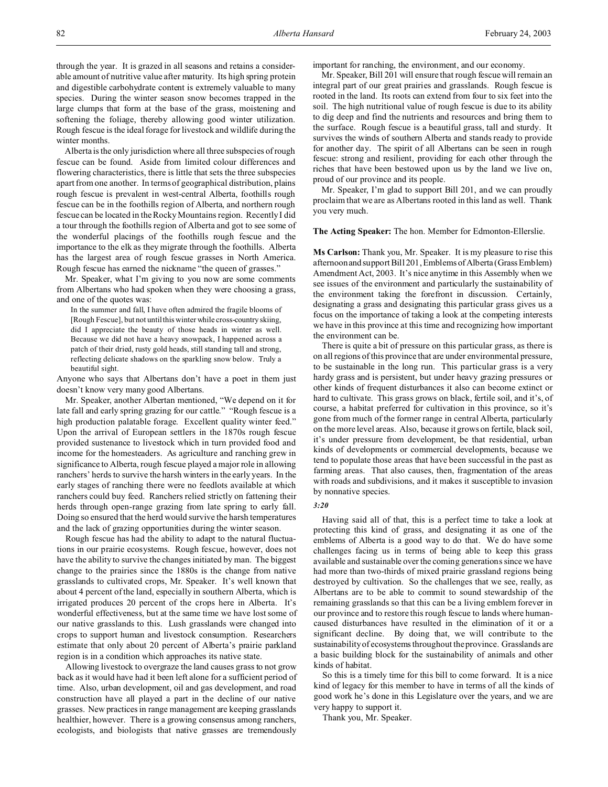through the year. It is grazed in all seasons and retains a considerable amount of nutritive value after maturity. Its high spring protein and digestible carbohydrate content is extremely valuable to many species. During the winter season snow becomes trapped in the large clumps that form at the base of the grass, moistening and softening the foliage, thereby allowing good winter utilization. Rough fescue is the ideal forage for livestock and wildlife during the winter months.

Alberta is the only jurisdiction where all three subspecies of rough fescue can be found. Aside from limited colour differences and flowering characteristics, there is little that sets the three subspecies apart from one another. In terms of geographical distribution, plains rough fescue is prevalent in west-central Alberta, foothills rough fescue can be in the foothills region of Alberta, and northern rough fescue can be located in the Rocky Mountains region. Recently I did a tour through the foothills region of Alberta and got to see some of the wonderful placings of the foothills rough fescue and the importance to the elk as they migrate through the foothills. Alberta has the largest area of rough fescue grasses in North America. Rough fescue has earned the nickname "the queen of grasses."

Mr. Speaker, what I'm giving to you now are some comments from Albertans who had spoken when they were choosing a grass, and one of the quotes was:

In the summer and fall, I have often admired the fragile blooms of [Rough Fescue], but not until this winter while cross-country skiing, did I appreciate the beauty of those heads in winter as well. Because we did not have a heavy snowpack, I happened across a patch of their dried, rusty gold heads, still standing tall and strong, reflecting delicate shadows on the sparkling snow below. Truly a beautiful sight.

Anyone who says that Albertans don't have a poet in them just doesn't know very many good Albertans.

Mr. Speaker, another Albertan mentioned, "We depend on it for late fall and early spring grazing for our cattle." "Rough fescue is a high production palatable forage. Excellent quality winter feed." Upon the arrival of European settlers in the 1870s rough fescue provided sustenance to livestock which in turn provided food and income for the homesteaders. As agriculture and ranching grew in significance to Alberta, rough fescue played a major role in allowing ranchers' herds to survive the harsh winters in the early years. In the early stages of ranching there were no feedlots available at which ranchers could buy feed. Ranchers relied strictly on fattening their herds through open-range grazing from late spring to early fall. Doing so ensured that the herd would survive the harsh temperatures and the lack of grazing opportunities during the winter season.

Rough fescue has had the ability to adapt to the natural fluctuations in our prairie ecosystems. Rough fescue, however, does not have the ability to survive the changes initiated by man. The biggest change to the prairies since the 1880s is the change from native grasslands to cultivated crops, Mr. Speaker. It's well known that about 4 percent of the land, especially in southern Alberta, which is irrigated produces 20 percent of the crops here in Alberta. It's wonderful effectiveness, but at the same time we have lost some of our native grasslands to this. Lush grasslands were changed into crops to support human and livestock consumption. Researchers estimate that only about 20 percent of Alberta's prairie parkland region is in a condition which approaches its native state.

Allowing livestock to overgraze the land causes grass to not grow back as it would have had it been left alone for a sufficient period of time. Also, urban development, oil and gas development, and road construction have all played a part in the decline of our native grasses. New practices in range management are keeping grasslands healthier, however. There is a growing consensus among ranchers, ecologists, and biologists that native grasses are tremendously

important for ranching, the environment, and our economy.

Mr. Speaker, Bill 201 will ensure that rough fescue will remain an integral part of our great prairies and grasslands. Rough fescue is rooted in the land. Its roots can extend from four to six feet into the soil. The high nutritional value of rough fescue is due to its ability to dig deep and find the nutrients and resources and bring them to the surface. Rough fescue is a beautiful grass, tall and sturdy. It survives the winds of southern Alberta and stands ready to provide for another day. The spirit of all Albertans can be seen in rough fescue: strong and resilient, providing for each other through the riches that have been bestowed upon us by the land we live on, proud of our province and its people.

Mr. Speaker, I'm glad to support Bill 201, and we can proudly proclaim that we are as Albertans rooted in this land as well. Thank you very much.

**The Acting Speaker:** The hon. Member for Edmonton-Ellerslie.

**Ms Carlson:** Thank you, Mr. Speaker. It is my pleasure to rise this afternoon and support Bill 201, Emblems of Alberta (Grass Emblem) Amendment Act, 2003. It's nice anytime in this Assembly when we see issues of the environment and particularly the sustainability of the environment taking the forefront in discussion. Certainly, designating a grass and designating this particular grass gives us a focus on the importance of taking a look at the competing interests we have in this province at this time and recognizing how important the environment can be.

There is quite a bit of pressure on this particular grass, as there is on all regions of this province that are under environmental pressure, to be sustainable in the long run. This particular grass is a very hardy grass and is persistent, but under heavy grazing pressures or other kinds of frequent disturbances it also can become extinct or hard to cultivate. This grass grows on black, fertile soil, and it's, of course, a habitat preferred for cultivation in this province, so it's gone from much of the former range in central Alberta, particularly on the more level areas. Also, because it grows on fertile, black soil, it's under pressure from development, be that residential, urban kinds of developments or commercial developments, because we tend to populate those areas that have been successful in the past as farming areas. That also causes, then, fragmentation of the areas with roads and subdivisions, and it makes it susceptible to invasion by nonnative species.

### *3:20*

Having said all of that, this is a perfect time to take a look at protecting this kind of grass, and designating it as one of the emblems of Alberta is a good way to do that. We do have some challenges facing us in terms of being able to keep this grass available and sustainable over the coming generations since we have had more than two-thirds of mixed prairie grassland regions being destroyed by cultivation. So the challenges that we see, really, as Albertans are to be able to commit to sound stewardship of the remaining grasslands so that this can be a living emblem forever in our province and to restore this rough fescue to lands where humancaused disturbances have resulted in the elimination of it or a significant decline. By doing that, we will contribute to the sustainability of ecosystems throughout the province. Grasslands are a basic building block for the sustainability of animals and other kinds of habitat.

So this is a timely time for this bill to come forward. It is a nice kind of legacy for this member to have in terms of all the kinds of good work he's done in this Legislature over the years, and we are very happy to support it.

Thank you, Mr. Speaker.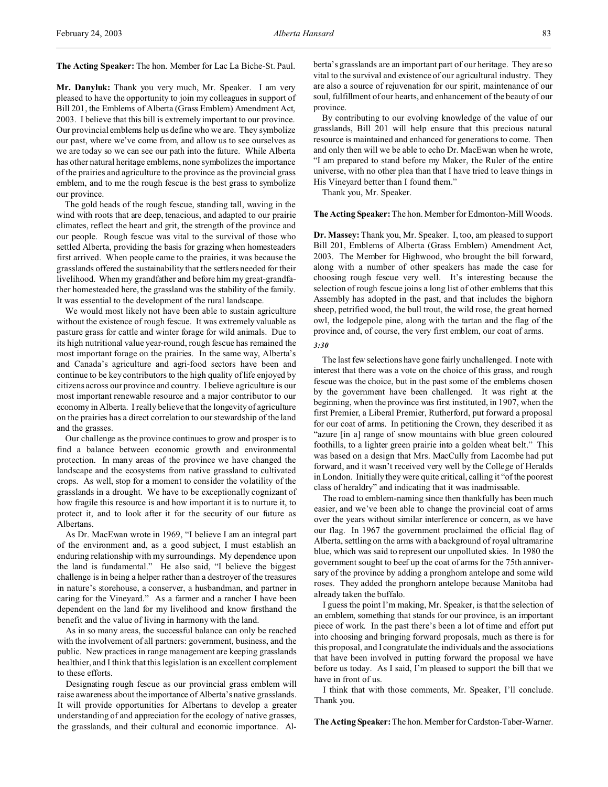**The Acting Speaker:** The hon. Member for Lac La Biche-St. Paul.

**Mr. Danyluk:** Thank you very much, Mr. Speaker. I am very pleased to have the opportunity to join my colleagues in support of Bill 201, the Emblems of Alberta (Grass Emblem) Amendment Act, 2003. I believe that this bill is extremely important to our province. Our provincial emblems help us define who we are. They symbolize our past, where we've come from, and allow us to see ourselves as we are today so we can see our path into the future. While Alberta has other natural heritage emblems, none symbolizes the importance of the prairies and agriculture to the province as the provincial grass emblem, and to me the rough fescue is the best grass to symbolize our province.

The gold heads of the rough fescue, standing tall, waving in the wind with roots that are deep, tenacious, and adapted to our prairie climates, reflect the heart and grit, the strength of the province and our people. Rough fescue was vital to the survival of those who settled Alberta, providing the basis for grazing when homesteaders first arrived. When people came to the prairies, it was because the grasslands offered the sustainability that the settlers needed for their livelihood. When my grandfather and before him my great-grandfather homesteaded here, the grassland was the stability of the family. It was essential to the development of the rural landscape.

We would most likely not have been able to sustain agriculture without the existence of rough fescue. It was extremely valuable as pasture grass for cattle and winter forage for wild animals. Due to its high nutritional value year-round, rough fescue has remained the most important forage on the prairies. In the same way, Alberta's and Canada's agriculture and agri-food sectors have been and continue to be key contributors to the high quality of life enjoyed by citizens across our province and country. I believe agriculture is our most important renewable resource and a major contributor to our economy in Alberta. I really believe that the longevity of agriculture on the prairies has a direct correlation to our stewardship of the land and the grasses.

Our challenge as the province continues to grow and prosper is to find a balance between economic growth and environmental protection. In many areas of the province we have changed the landscape and the ecosystems from native grassland to cultivated crops. As well, stop for a moment to consider the volatility of the grasslands in a drought. We have to be exceptionally cognizant of how fragile this resource is and how important it is to nurture it, to protect it, and to look after it for the security of our future as Albertans.

As Dr. MacEwan wrote in 1969, "I believe I am an integral part of the environment and, as a good subject, I must establish an enduring relationship with my surroundings. My dependence upon the land is fundamental." He also said, "I believe the biggest challenge is in being a helper rather than a destroyer of the treasures in nature's storehouse, a conserver, a husbandman, and partner in caring for the Vineyard." As a farmer and a rancher I have been dependent on the land for my livelihood and know firsthand the benefit and the value of living in harmony with the land.

As in so many areas, the successful balance can only be reached with the involvement of all partners: government, business, and the public. New practices in range management are keeping grasslands healthier, and I think that this legislation is an excellent complement to these efforts.

Designating rough fescue as our provincial grass emblem will raise awareness about the importance of Alberta's native grasslands. It will provide opportunities for Albertans to develop a greater understanding of and appreciation for the ecology of native grasses, the grasslands, and their cultural and economic importance. Alberta's grasslands are an important part of our heritage. They are so vital to the survival and existence of our agricultural industry. They are also a source of rejuvenation for our spirit, maintenance of our soul, fulfillment of our hearts, and enhancement of the beauty of our province.

By contributing to our evolving knowledge of the value of our grasslands, Bill 201 will help ensure that this precious natural resource is maintained and enhanced for generations to come. Then and only then will we be able to echo Dr. MacEwan when he wrote, "I am prepared to stand before my Maker, the Ruler of the entire universe, with no other plea than that I have tried to leave things in His Vineyard better than I found them."

Thank you, Mr. Speaker.

#### **The Acting Speaker:** The hon. Member for Edmonton-Mill Woods.

**Dr. Massey:** Thank you, Mr. Speaker. I, too, am pleased to support Bill 201, Emblems of Alberta (Grass Emblem) Amendment Act, 2003. The Member for Highwood, who brought the bill forward, along with a number of other speakers has made the case for choosing rough fescue very well. It's interesting because the selection of rough fescue joins a long list of other emblems that this Assembly has adopted in the past, and that includes the bighorn sheep, petrified wood, the bull trout, the wild rose, the great horned owl, the lodgepole pine, along with the tartan and the flag of the province and, of course, the very first emblem, our coat of arms.

*3:30*

The last few selections have gone fairly unchallenged. I note with interest that there was a vote on the choice of this grass, and rough fescue was the choice, but in the past some of the emblems chosen by the government have been challenged. It was right at the beginning, when the province was first instituted, in 1907, when the first Premier, a Liberal Premier, Rutherford, put forward a proposal for our coat of arms. In petitioning the Crown, they described it as "azure [in a] range of snow mountains with blue green coloured foothills, to a lighter green prairie into a golden wheat belt." This was based on a design that Mrs. MacCully from Lacombe had put forward, and it wasn't received very well by the College of Heralds in London. Initially they were quite critical, calling it "of the poorest class of heraldry" and indicating that it was inadmissable.

The road to emblem-naming since then thankfully has been much easier, and we've been able to change the provincial coat of arms over the years without similar interference or concern, as we have our flag. In 1967 the government proclaimed the official flag of Alberta, settling on the arms with a background of royal ultramarine blue, which was said to represent our unpolluted skies. In 1980 the government sought to beef up the coat of arms for the 75th anniversary of the province by adding a pronghorn antelope and some wild roses. They added the pronghorn antelope because Manitoba had already taken the buffalo.

I guess the point I'm making, Mr. Speaker, is that the selection of an emblem, something that stands for our province, is an important piece of work. In the past there's been a lot of time and effort put into choosing and bringing forward proposals, much as there is for this proposal, and I congratulate the individuals and the associations that have been involved in putting forward the proposal we have before us today. As I said, I'm pleased to support the bill that we have in front of us.

I think that with those comments, Mr. Speaker, I'll conclude. Thank you.

**The Acting Speaker:** The hon. Member for Cardston-Taber-Warner.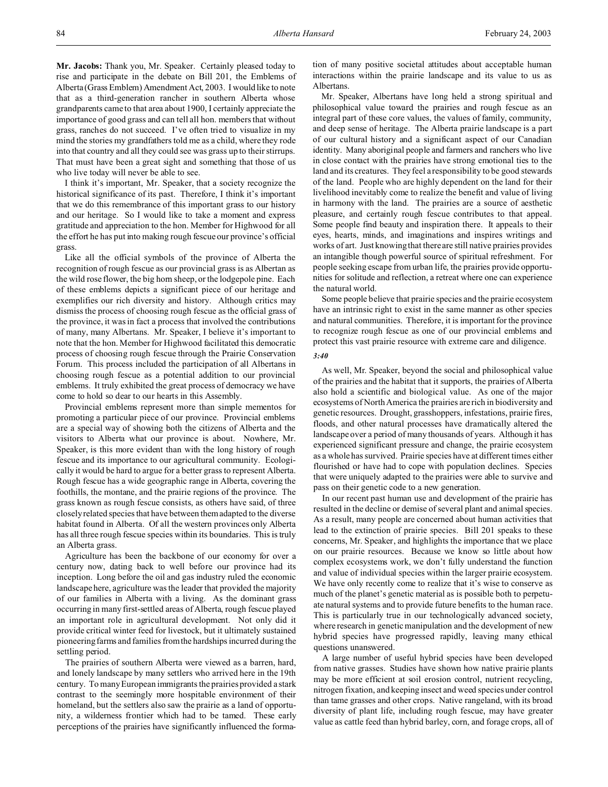**Mr. Jacobs:** Thank you, Mr. Speaker. Certainly pleased today to rise and participate in the debate on Bill 201, the Emblems of Alberta (Grass Emblem) Amendment Act, 2003. I would like to note that as a third-generation rancher in southern Alberta whose grandparents came to that area about 1900, I certainly appreciate the importance of good grass and can tell all hon. members that without grass, ranches do not succeed. I've often tried to visualize in my mind the stories my grandfathers told me as a child, where they rode into that country and all they could see was grass up to their stirrups. That must have been a great sight and something that those of us who live today will never be able to see.

I think it's important, Mr. Speaker, that a society recognize the historical significance of its past. Therefore, I think it's important that we do this remembrance of this important grass to our history and our heritage. So I would like to take a moment and express gratitude and appreciation to the hon. Member for Highwood for all the effort he has put into making rough fescue our province's official grass.

Like all the official symbols of the province of Alberta the recognition of rough fescue as our provincial grass is as Albertan as the wild rose flower, the big horn sheep, or the lodgepole pine. Each of these emblems depicts a significant piece of our heritage and exemplifies our rich diversity and history. Although critics may dismiss the process of choosing rough fescue as the official grass of the province, it was in fact a process that involved the contributions of many, many Albertans. Mr. Speaker, I believe it's important to note that the hon. Member for Highwood facilitated this democratic process of choosing rough fescue through the Prairie Conservation Forum. This process included the participation of all Albertans in choosing rough fescue as a potential addition to our provincial emblems. It truly exhibited the great process of democracy we have come to hold so dear to our hearts in this Assembly.

Provincial emblems represent more than simple mementos for promoting a particular piece of our province. Provincial emblems are a special way of showing both the citizens of Alberta and the visitors to Alberta what our province is about. Nowhere, Mr. Speaker, is this more evident than with the long history of rough fescue and its importance to our agricultural community. Ecologically it would be hard to argue for a better grass to represent Alberta. Rough fescue has a wide geographic range in Alberta, covering the foothills, the montane, and the prairie regions of the province. The grass known as rough fescue consists, as others have said, of three closely related species that have between them adapted to the diverse habitat found in Alberta. Of all the western provinces only Alberta has all three rough fescue species within its boundaries. This is truly an Alberta grass.

Agriculture has been the backbone of our economy for over a century now, dating back to well before our province had its inception. Long before the oil and gas industry ruled the economic landscape here, agriculture was the leader that provided the majority of our families in Alberta with a living. As the dominant grass occurring in many first-settled areas of Alberta, rough fescue played an important role in agricultural development. Not only did it provide critical winter feed for livestock, but it ultimately sustained pioneering farms and families from the hardships incurred during the settling period.

The prairies of southern Alberta were viewed as a barren, hard, and lonely landscape by many settlers who arrived here in the 19th century. To many European immigrants the prairies provided a stark contrast to the seemingly more hospitable environment of their homeland, but the settlers also saw the prairie as a land of opportunity, a wilderness frontier which had to be tamed. These early perceptions of the prairies have significantly influenced the formation of many positive societal attitudes about acceptable human interactions within the prairie landscape and its value to us as Albertans.

Mr. Speaker, Albertans have long held a strong spiritual and philosophical value toward the prairies and rough fescue as an integral part of these core values, the values of family, community, and deep sense of heritage. The Alberta prairie landscape is a part of our cultural history and a significant aspect of our Canadian identity. Many aboriginal people and farmers and ranchers who live in close contact with the prairies have strong emotional ties to the land and its creatures. They feel a responsibility to be good stewards of the land. People who are highly dependent on the land for their livelihood inevitably come to realize the benefit and value of living in harmony with the land. The prairies are a source of aesthetic pleasure, and certainly rough fescue contributes to that appeal. Some people find beauty and inspiration there. It appeals to their eyes, hearts, minds, and imaginations and inspires writings and works of art. Just knowing that there are still native prairies provides an intangible though powerful source of spiritual refreshment. For people seeking escape from urban life, the prairies provide opportunities for solitude and reflection, a retreat where one can experience the natural world.

Some people believe that prairie species and the prairie ecosystem have an intrinsic right to exist in the same manner as other species and natural communities. Therefore, it is important for the province to recognize rough fescue as one of our provincial emblems and protect this vast prairie resource with extreme care and diligence.

#### *3:40*

As well, Mr. Speaker, beyond the social and philosophical value of the prairies and the habitat that it supports, the prairies of Alberta also hold a scientific and biological value. As one of the major ecosystems of North America the prairies are rich in biodiversity and genetic resources. Drought, grasshoppers, infestations, prairie fires, floods, and other natural processes have dramatically altered the landscape over a period of many thousands of years. Although it has experienced significant pressure and change, the prairie ecosystem as a whole has survived. Prairie species have at different times either flourished or have had to cope with population declines. Species that were uniquely adapted to the prairies were able to survive and pass on their genetic code to a new generation.

In our recent past human use and development of the prairie has resulted in the decline or demise of several plant and animal species. As a result, many people are concerned about human activities that lead to the extinction of prairie species. Bill 201 speaks to these concerns, Mr. Speaker, and highlights the importance that we place on our prairie resources. Because we know so little about how complex ecosystems work, we don't fully understand the function and value of individual species within the larger prairie ecosystem. We have only recently come to realize that it's wise to conserve as much of the planet's genetic material as is possible both to perpetuate natural systems and to provide future benefits to the human race. This is particularly true in our technologically advanced society, where research in genetic manipulation and the development of new hybrid species have progressed rapidly, leaving many ethical questions unanswered.

A large number of useful hybrid species have been developed from native grasses. Studies have shown how native prairie plants may be more efficient at soil erosion control, nutrient recycling, nitrogen fixation, and keeping insect and weed species under control than tame grasses and other crops. Native rangeland, with its broad diversity of plant life, including rough fescue, may have greater value as cattle feed than hybrid barley, corn, and forage crops, all of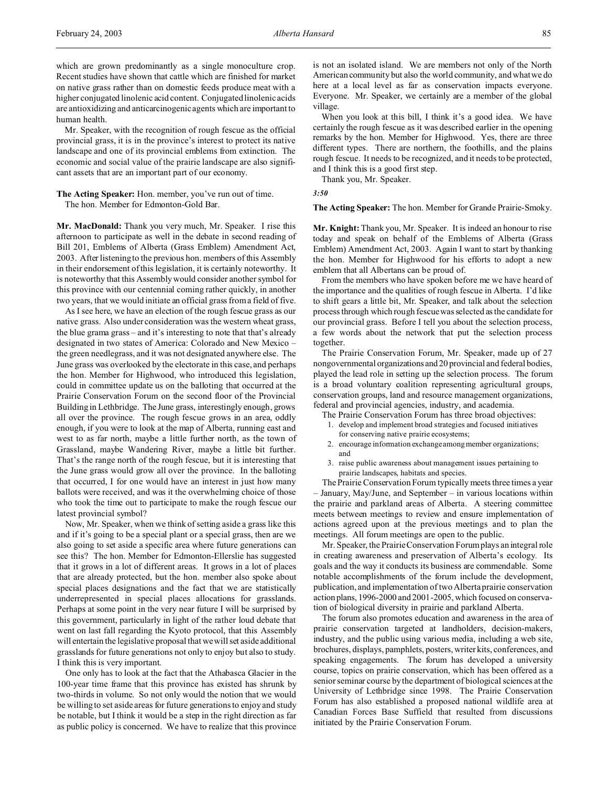which are grown predominantly as a single monoculture crop. Recent studies have shown that cattle which are finished for market on native grass rather than on domestic feeds produce meat with a higher conjugated linolenic acid content. Conjugated linolenic acids are antioxidizing and anticarcinogenic agents which are important to human health.

Mr. Speaker, with the recognition of rough fescue as the official provincial grass, it is in the province's interest to protect its native landscape and one of its provincial emblems from extinction. The economic and social value of the prairie landscape are also significant assets that are an important part of our economy.

## **The Acting Speaker:** Hon. member, you've run out of time. The hon. Member for Edmonton-Gold Bar.

**Mr. MacDonald:** Thank you very much, Mr. Speaker. I rise this afternoon to participate as well in the debate in second reading of Bill 201, Emblems of Alberta (Grass Emblem) Amendment Act, 2003. After listening to the previous hon. members of this Assembly in their endorsement of this legislation, it is certainly noteworthy. It is noteworthy that this Assembly would consider another symbol for this province with our centennial coming rather quickly, in another two years, that we would initiate an official grass from a field of five.

As I see here, we have an election of the rough fescue grass as our native grass. Also under consideration was the western wheat grass, the blue grama grass – and it's interesting to note that that's already designated in two states of America: Colorado and New Mexico – the green needlegrass, and it was not designated anywhere else. The June grass was overlooked by the electorate in this case, and perhaps the hon. Member for Highwood, who introduced this legislation, could in committee update us on the balloting that occurred at the Prairie Conservation Forum on the second floor of the Provincial Building in Lethbridge. The June grass, interestingly enough, grows all over the province. The rough fescue grows in an area, oddly enough, if you were to look at the map of Alberta, running east and west to as far north, maybe a little further north, as the town of Grassland, maybe Wandering River, maybe a little bit further. That's the range north of the rough fescue, but it is interesting that the June grass would grow all over the province. In the balloting that occurred, I for one would have an interest in just how many ballots were received, and was it the overwhelming choice of those who took the time out to participate to make the rough fescue our latest provincial symbol?

Now, Mr. Speaker, when we think of setting aside a grass like this and if it's going to be a special plant or a special grass, then are we also going to set aside a specific area where future generations can see this? The hon. Member for Edmonton-Ellerslie has suggested that it grows in a lot of different areas. It grows in a lot of places that are already protected, but the hon. member also spoke about special places designations and the fact that we are statistically underrepresented in special places allocations for grasslands. Perhaps at some point in the very near future I will be surprised by this government, particularly in light of the rather loud debate that went on last fall regarding the Kyoto protocol, that this Assembly will entertain the legislative proposal that we will set aside additional grasslands for future generations not only to enjoy but also to study. I think this is very important.

One only has to look at the fact that the Athabasca Glacier in the 100-year time frame that this province has existed has shrunk by two-thirds in volume. So not only would the notion that we would be willing to set aside areas for future generations to enjoy and study be notable, but I think it would be a step in the right direction as far as public policy is concerned. We have to realize that this province is not an isolated island. We are members not only of the North American community but also the world community, and what we do here at a local level as far as conservation impacts everyone. Everyone. Mr. Speaker, we certainly are a member of the global village.

When you look at this bill, I think it's a good idea. We have certainly the rough fescue as it was described earlier in the opening remarks by the hon. Member for Highwood. Yes, there are three different types. There are northern, the foothills, and the plains rough fescue. It needs to be recognized, and it needs to be protected, and I think this is a good first step.

Thank you, Mr. Speaker.

*3:50*

### **The Acting Speaker:** The hon. Member for Grande Prairie-Smoky.

**Mr. Knight:** Thank you, Mr. Speaker. It is indeed an honour to rise today and speak on behalf of the Emblems of Alberta (Grass Emblem) Amendment Act, 2003. Again I want to start by thanking the hon. Member for Highwood for his efforts to adopt a new emblem that all Albertans can be proud of.

From the members who have spoken before me we have heard of the importance and the qualities of rough fescue in Alberta. I'd like to shift gears a little bit, Mr. Speaker, and talk about the selection process through which rough fescue was selected as the candidate for our provincial grass. Before I tell you about the selection process, a few words about the network that put the selection process together.

The Prairie Conservation Forum, Mr. Speaker, made up of 27 nongovernmental organizations and 20 provincial and federal bodies, played the lead role in setting up the selection process. The forum is a broad voluntary coalition representing agricultural groups, conservation groups, land and resource management organizations, federal and provincial agencies, industry, and academia.

- The Prairie Conservation Forum has three broad objectives:
- 1. develop and implement broad strategies and focused initiatives for conserving native prairie ecosystems;
- 2. encourage information exchange among member organizations; and
- 3. raise public awareness about management issues pertaining to prairie landscapes, habitats and species.

The Prairie Conservation Forum typically meets three times a year – January, May/June, and September – in various locations within the prairie and parkland areas of Alberta. A steering committee meets between meetings to review and ensure implementation of actions agreed upon at the previous meetings and to plan the meetings. All forum meetings are open to the public.

Mr. Speaker, the Prairie Conservation Forumplays an integral role in creating awareness and preservation of Alberta's ecology. Its goals and the way it conducts its business are commendable. Some notable accomplishments of the forum include the development, publication, and implementation of two Alberta prairie conservation action plans, 1996-2000 and 2001-2005, which focused on conservation of biological diversity in prairie and parkland Alberta.

The forum also promotes education and awareness in the area of prairie conservation targeted at landholders, decision-makers, industry, and the public using various media, including a web site, brochures, displays, pamphlets, posters, writer kits, conferences, and speaking engagements. The forum has developed a university course, topics on prairie conservation, which has been offered as a senior seminar course by the department of biological sciences at the University of Lethbridge since 1998. The Prairie Conservation Forum has also established a proposed national wildlife area at Canadian Forces Base Suffield that resulted from discussions initiated by the Prairie Conservation Forum.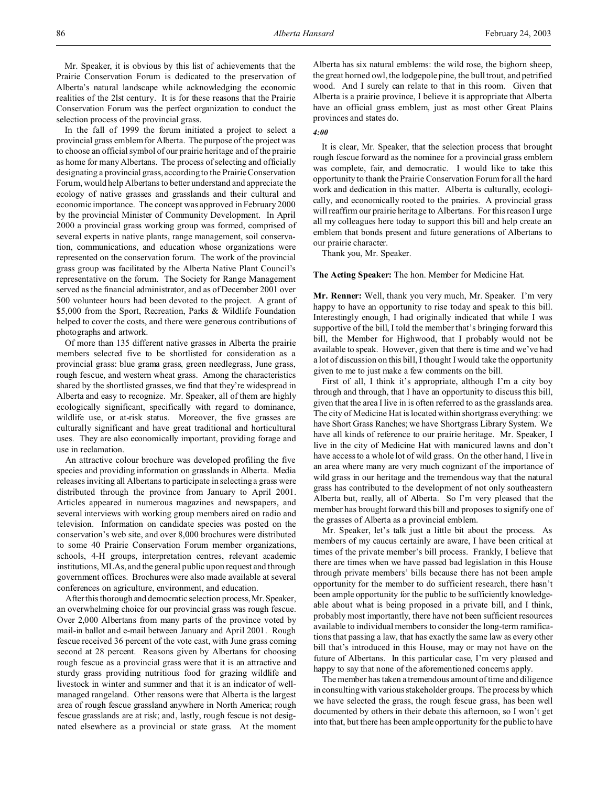Mr. Speaker, it is obvious by this list of achievements that the Prairie Conservation Forum is dedicated to the preservation of Alberta's natural landscape while acknowledging the economic realities of the 2lst century. It is for these reasons that the Prairie Conservation Forum was the perfect organization to conduct the selection process of the provincial grass.

In the fall of 1999 the forum initiated a project to select a provincial grass emblem for Alberta. The purpose of the project was to choose an official symbol of our prairie heritage and of the prairie as home for many Albertans. The process of selecting and officially designating a provincial grass, according to the Prairie Conservation Forum, would help Albertans to better understand and appreciate the ecology of native grasses and grasslands and their cultural and economic importance. The concept was approved in February 2000 by the provincial Minister of Community Development. In April 2000 a provincial grass working group was formed, comprised of several experts in native plants, range management, soil conservation, communications, and education whose organizations were represented on the conservation forum. The work of the provincial grass group was facilitated by the Alberta Native Plant Council's representative on the forum. The Society for Range Management served as the financial administrator, and as of December 2001 over 500 volunteer hours had been devoted to the project. A grant of \$5,000 from the Sport, Recreation, Parks & Wildlife Foundation helped to cover the costs, and there were generous contributions of photographs and artwork.

Of more than 135 different native grasses in Alberta the prairie members selected five to be shortlisted for consideration as a provincial grass: blue grama grass, green needlegrass, June grass, rough fescue, and western wheat grass. Among the characteristics shared by the shortlisted grasses, we find that they're widespread in Alberta and easy to recognize. Mr. Speaker, all of them are highly ecologically significant, specifically with regard to dominance, wildlife use, or at-risk status. Moreover, the five grasses are culturally significant and have great traditional and horticultural uses. They are also economically important, providing forage and use in reclamation.

An attractive colour brochure was developed profiling the five species and providing information on grasslands in Alberta. Media releases inviting all Albertans to participate in selecting a grass were distributed through the province from January to April 2001. Articles appeared in numerous magazines and newspapers, and several interviews with working group members aired on radio and television. Information on candidate species was posted on the conservation's web site, and over 8,000 brochures were distributed to some 40 Prairie Conservation Forum member organizations, schools, 4-H groups, interpretation centres, relevant academic institutions, MLAs, and the general public upon request and through government offices. Brochures were also made available at several conferences on agriculture, environment, and education.

After this thorough and democratic selection process,Mr.Speaker, an overwhelming choice for our provincial grass was rough fescue. Over 2,000 Albertans from many parts of the province voted by mail-in ballot and e-mail between January and April 2001. Rough fescue received 36 percent of the vote cast, with June grass coming second at 28 percent. Reasons given by Albertans for choosing rough fescue as a provincial grass were that it is an attractive and sturdy grass providing nutritious food for grazing wildlife and livestock in winter and summer and that it is an indicator of wellmanaged rangeland. Other reasons were that Alberta is the largest area of rough fescue grassland anywhere in North America; rough fescue grasslands are at risk; and, lastly, rough fescue is not designated elsewhere as a provincial or state grass. At the moment

Alberta has six natural emblems: the wild rose, the bighorn sheep, the great horned owl, the lodgepole pine, the bull trout, and petrified wood. And I surely can relate to that in this room. Given that Alberta is a prairie province, I believe it is appropriate that Alberta have an official grass emblem, just as most other Great Plains provinces and states do.

### *4:00*

It is clear, Mr. Speaker, that the selection process that brought rough fescue forward as the nominee for a provincial grass emblem was complete, fair, and democratic. I would like to take this opportunity to thank the Prairie Conservation Forum for all the hard work and dedication in this matter. Alberta is culturally, ecologically, and economically rooted to the prairies. A provincial grass will reaffirm our prairie heritage to Albertans. For this reason I urge all my colleagues here today to support this bill and help create an emblem that bonds present and future generations of Albertans to our prairie character.

Thank you, Mr. Speaker.

### **The Acting Speaker:** The hon. Member for Medicine Hat.

**Mr. Renner:** Well, thank you very much, Mr. Speaker. I'm very happy to have an opportunity to rise today and speak to this bill. Interestingly enough, I had originally indicated that while I was supportive of the bill, I told the member that's bringing forward this bill, the Member for Highwood, that I probably would not be available to speak. However, given that there is time and we've had a lot of discussion on this bill, I thought I would take the opportunity given to me to just make a few comments on the bill.

First of all, I think it's appropriate, although I'm a city boy through and through, that I have an opportunity to discuss this bill, given that the area I live in is often referred to as the grasslands area. The city of Medicine Hat is located within shortgrass everything: we have Short Grass Ranches; we have Shortgrass Library System. We have all kinds of reference to our prairie heritage. Mr. Speaker, I live in the city of Medicine Hat with manicured lawns and don't have access to a whole lot of wild grass. On the other hand, I live in an area where many are very much cognizant of the importance of wild grass in our heritage and the tremendous way that the natural grass has contributed to the development of not only southeastern Alberta but, really, all of Alberta. So I'm very pleased that the member has brought forward this bill and proposes to signify one of the grasses of Alberta as a provincial emblem.

Mr. Speaker, let's talk just a little bit about the process. As members of my caucus certainly are aware, I have been critical at times of the private member's bill process. Frankly, I believe that there are times when we have passed bad legislation in this House through private members' bills because there has not been ample opportunity for the member to do sufficient research, there hasn't been ample opportunity for the public to be sufficiently knowledgeable about what is being proposed in a private bill, and I think, probably most importantly, there have not been sufficient resources available to individual members to consider the long-term ramifications that passing a law, that has exactly the same law as every other bill that's introduced in this House, may or may not have on the future of Albertans. In this particular case, I'm very pleased and happy to say that none of the aforementioned concerns apply.

The member has taken a tremendous amount of time and diligence in consulting with various stakeholder groups. The process by which we have selected the grass, the rough fescue grass, has been well documented by others in their debate this afternoon, so I won't get into that, but there has been ample opportunity for the public to have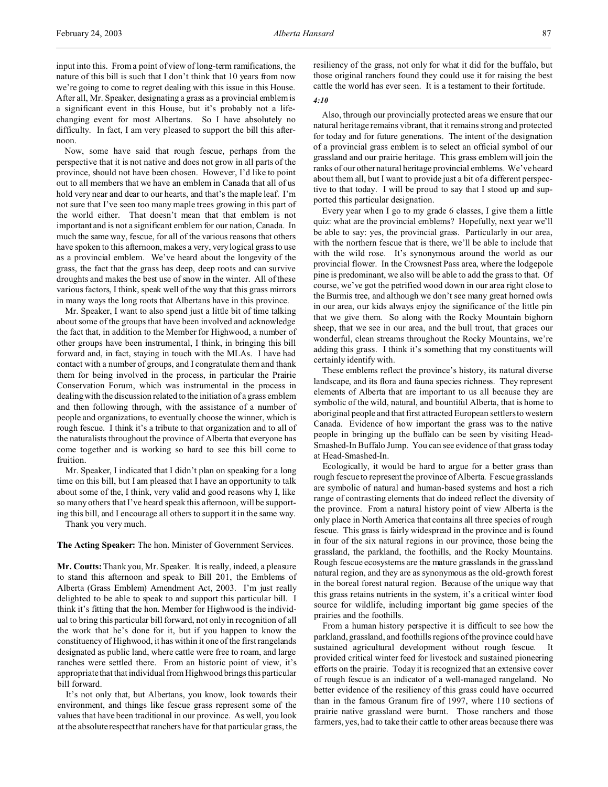input into this. From a point of view of long-term ramifications, the nature of this bill is such that I don't think that 10 years from now we're going to come to regret dealing with this issue in this House. After all, Mr. Speaker, designating a grass as a provincial emblem is a significant event in this House, but it's probably not a lifechanging event for most Albertans. So I have absolutely no difficulty. In fact, I am very pleased to support the bill this afternoon.

Now, some have said that rough fescue, perhaps from the perspective that it is not native and does not grow in all parts of the province, should not have been chosen. However, I'd like to point out to all members that we have an emblem in Canada that all of us hold very near and dear to our hearts, and that's the maple leaf. I'm not sure that I've seen too many maple trees growing in this part of the world either. That doesn't mean that that emblem is not important and is not a significant emblem for our nation, Canada. In much the same way, fescue, for all of the various reasons that others have spoken to this afternoon, makes a very, very logical grass to use as a provincial emblem. We've heard about the longevity of the grass, the fact that the grass has deep, deep roots and can survive droughts and makes the best use of snow in the winter. All of these various factors, I think, speak well of the way that this grass mirrors in many ways the long roots that Albertans have in this province.

Mr. Speaker, I want to also spend just a little bit of time talking about some of the groups that have been involved and acknowledge the fact that, in addition to the Member for Highwood, a number of other groups have been instrumental, I think, in bringing this bill forward and, in fact, staying in touch with the MLAs. I have had contact with a number of groups, and I congratulate them and thank them for being involved in the process, in particular the Prairie Conservation Forum, which was instrumental in the process in dealing with the discussion related to the initiation of a grass emblem and then following through, with the assistance of a number of people and organizations, to eventually choose the winner, which is rough fescue. I think it's a tribute to that organization and to all of the naturalists throughout the province of Alberta that everyone has come together and is working so hard to see this bill come to fruition.

Mr. Speaker, I indicated that I didn't plan on speaking for a long time on this bill, but I am pleased that I have an opportunity to talk about some of the, I think, very valid and good reasons why I, like so many others that I've heard speak this afternoon, will be supporting this bill, and I encourage all others to support it in the same way.

Thank you very much.

**The Acting Speaker:** The hon. Minister of Government Services.

**Mr. Coutts:**Thank you, Mr. Speaker. It is really, indeed, a pleasure to stand this afternoon and speak to Bill 201, the Emblems of Alberta (Grass Emblem) Amendment Act, 2003. I'm just really delighted to be able to speak to and support this particular bill. I think it's fitting that the hon. Member for Highwood is the individual to bring this particular bill forward, not only in recognition of all the work that he's done for it, but if you happen to know the constituency of Highwood, it has within it one of the first rangelands designated as public land, where cattle were free to roam, and large ranches were settled there. From an historic point of view, it's appropriatethat that individual from Highwood brings this particular bill forward.

It's not only that, but Albertans, you know, look towards their environment, and things like fescue grass represent some of the values that have been traditional in our province. As well, you look at the absolute respect that ranchers have for that particular grass, the

resiliency of the grass, not only for what it did for the buffalo, but those original ranchers found they could use it for raising the best cattle the world has ever seen. It is a testament to their fortitude.

#### *4:10*

Also, through our provincially protected areas we ensure that our natural heritage remains vibrant, that it remains strong and protected for today and for future generations. The intent of the designation of a provincial grass emblem is to select an official symbol of our grassland and our prairie heritage. This grass emblem will join the ranks of our other natural heritage provincial emblems. We've heard about them all, but I want to provide just a bit of a different perspective to that today. I will be proud to say that I stood up and supported this particular designation.

Every year when I go to my grade 6 classes, I give them a little quiz: what are the provincial emblems? Hopefully, next year we'll be able to say: yes, the provincial grass. Particularly in our area, with the northern fescue that is there, we'll be able to include that with the wild rose. It's synonymous around the world as our provincial flower. In the Crowsnest Pass area, where the lodgepole pine is predominant, we also will be able to add the grass to that. Of course, we've got the petrified wood down in our area right close to the Burmis tree, and although we don't see many great horned owls in our area, our kids always enjoy the significance of the little pin that we give them. So along with the Rocky Mountain bighorn sheep, that we see in our area, and the bull trout, that graces our wonderful, clean streams throughout the Rocky Mountains, we're adding this grass. I think it's something that my constituents will certainly identify with.

These emblems reflect the province's history, its natural diverse landscape, and its flora and fauna species richness. They represent elements of Alberta that are important to us all because they are symbolic of the wild, natural, and bountiful Alberta, that is home to aboriginal people and that first attracted European settlers to western Canada. Evidence of how important the grass was to the native people in bringing up the buffalo can be seen by visiting Head-Smashed-In Buffalo Jump. You can see evidence of that grass today at Head-Smashed-In.

Ecologically, it would be hard to argue for a better grass than rough fescue to represent the province of Alberta. Fescue grasslands are symbolic of natural and human-based systems and host a rich range of contrasting elements that do indeed reflect the diversity of the province. From a natural history point of view Alberta is the only place in North America that contains all three species of rough fescue. This grass is fairly widespread in the province and is found in four of the six natural regions in our province, those being the grassland, the parkland, the foothills, and the Rocky Mountains. Rough fescue ecosystems are the mature grasslands in the grassland natural region, and they are as synonymous as the old-growth forest in the boreal forest natural region. Because of the unique way that this grass retains nutrients in the system, it's a critical winter food source for wildlife, including important big game species of the prairies and the foothills.

From a human history perspective it is difficult to see how the parkland, grassland, and foothills regions of the province could have sustained agricultural development without rough fescue. It provided critical winter feed for livestock and sustained pioneering efforts on the prairie. Today it is recognized that an extensive cover of rough fescue is an indicator of a well-managed rangeland. No better evidence of the resiliency of this grass could have occurred than in the famous Granum fire of 1997, where 110 sections of prairie native grassland were burnt. Those ranchers and those farmers, yes, had to take their cattle to other areas because there was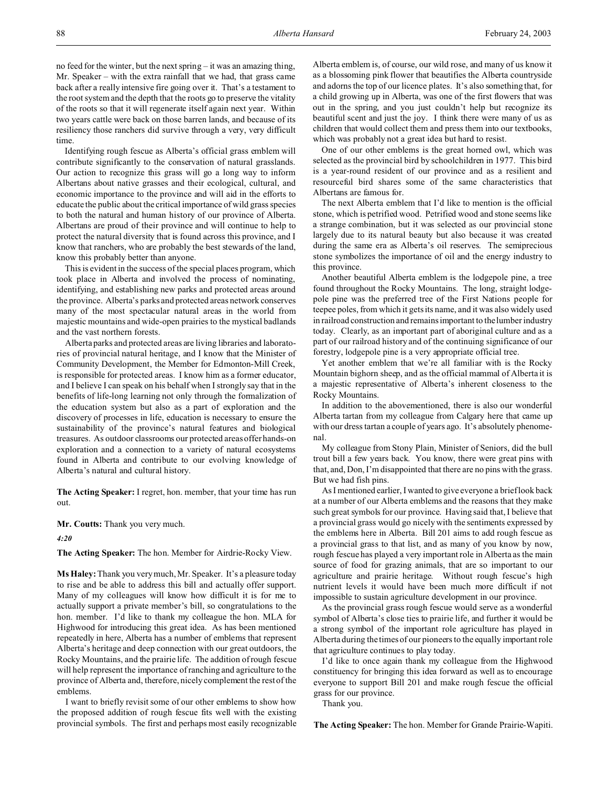no feed for the winter, but the next spring – it was an amazing thing, Mr. Speaker – with the extra rainfall that we had, that grass came back after a really intensive fire going over it. That's a testament to the root system and the depth that the roots go to preserve the vitality of the roots so that it will regenerate itself again next year. Within two years cattle were back on those barren lands, and because of its resiliency those ranchers did survive through a very, very difficult time.

Identifying rough fescue as Alberta's official grass emblem will contribute significantly to the conservation of natural grasslands. Our action to recognize this grass will go a long way to inform Albertans about native grasses and their ecological, cultural, and economic importance to the province and will aid in the efforts to educate the public about the critical importance of wild grass species to both the natural and human history of our province of Alberta. Albertans are proud of their province and will continue to help to protect the natural diversity that is found across this province, and I know that ranchers, who are probably the best stewards of the land, know this probably better than anyone.

This is evident in the success of the special places program, which took place in Alberta and involved the process of nominating, identifying, and establishing new parks and protected areas around the province. Alberta's parks and protected areas network conserves many of the most spectacular natural areas in the world from majestic mountains and wide-open prairies to the mystical badlands and the vast northern forests.

Alberta parks and protected areas are living libraries and laboratories of provincial natural heritage, and I know that the Minister of Community Development, the Member for Edmonton-Mill Creek, is responsible for protected areas. I know him as a former educator, and I believe I can speak on his behalf when I strongly say that in the benefits of life-long learning not only through the formalization of the education system but also as a part of exploration and the discovery of processes in life, education is necessary to ensure the sustainability of the province's natural features and biological treasures. As outdoor classrooms our protected areas offer hands-on exploration and a connection to a variety of natural ecosystems found in Alberta and contribute to our evolving knowledge of Alberta's natural and cultural history.

**The Acting Speaker:** I regret, hon. member, that your time has run out.

**Mr. Coutts:** Thank you very much.

#### *4:20*

**The Acting Speaker:** The hon. Member for Airdrie-Rocky View.

**Ms Haley:** Thank you very much, Mr. Speaker. It's a pleasure today to rise and be able to address this bill and actually offer support. Many of my colleagues will know how difficult it is for me to actually support a private member's bill, so congratulations to the hon. member. I'd like to thank my colleague the hon. MLA for Highwood for introducing this great idea. As has been mentioned repeatedly in here, Alberta has a number of emblems that represent Alberta's heritage and deep connection with our great outdoors, the Rocky Mountains, and the prairie life. The addition of rough fescue will help represent the importance of ranching and agriculture to the province of Alberta and, therefore, nicely complement the rest of the emblems.

I want to briefly revisit some of our other emblems to show how the proposed addition of rough fescue fits well with the existing provincial symbols. The first and perhaps most easily recognizable Alberta emblem is, of course, our wild rose, and many of us know it as a blossoming pink flower that beautifies the Alberta countryside and adorns the top of our licence plates. It's also something that, for a child growing up in Alberta, was one of the first flowers that was out in the spring, and you just couldn't help but recognize its beautiful scent and just the joy. I think there were many of us as children that would collect them and press them into our textbooks, which was probably not a great idea but hard to resist.

One of our other emblems is the great horned owl, which was selected as the provincial bird by schoolchildren in 1977. This bird is a year-round resident of our province and as a resilient and resourceful bird shares some of the same characteristics that Albertans are famous for.

The next Alberta emblem that I'd like to mention is the official stone, which is petrified wood. Petrified wood and stone seems like a strange combination, but it was selected as our provincial stone largely due to its natural beauty but also because it was created during the same era as Alberta's oil reserves. The semiprecious stone symbolizes the importance of oil and the energy industry to this province.

Another beautiful Alberta emblem is the lodgepole pine, a tree found throughout the Rocky Mountains. The long, straight lodgepole pine was the preferred tree of the First Nations people for teepee poles, from which it gets its name, and it was also widely used in railroad construction and remainsimportant to the lumber industry today. Clearly, as an important part of aboriginal culture and as a part of our railroad history and of the continuing significance of our forestry, lodgepole pine is a very appropriate official tree.

Yet another emblem that we're all familiar with is the Rocky Mountain bighorn sheep, and as the official mammal of Alberta it is a majestic representative of Alberta's inherent closeness to the Rocky Mountains.

In addition to the abovementioned, there is also our wonderful Alberta tartan from my colleague from Calgary here that came up with our dress tartan a couple of years ago. It's absolutely phenomenal.

My colleague from Stony Plain, Minister of Seniors, did the bull trout bill a few years back. You know, there were great pins with that, and, Don, I'm disappointed that there are no pins with the grass. But we had fish pins.

As I mentioned earlier, I wanted to give everyone a brief look back at a number of our Alberta emblems and the reasons that they make such great symbols for our province. Having said that, I believe that a provincial grass would go nicely with the sentiments expressed by the emblems here in Alberta. Bill 201 aims to add rough fescue as a provincial grass to that list, and as many of you know by now, rough fescue has played a very important role in Alberta as the main source of food for grazing animals, that are so important to our agriculture and prairie heritage. Without rough fescue's high nutrient levels it would have been much more difficult if not impossible to sustain agriculture development in our province.

As the provincial grass rough fescue would serve as a wonderful symbol of Alberta's close ties to prairie life, and further it would be a strong symbol of the important role agriculture has played in Alberta during the times of our pioneers to the equally important role that agriculture continues to play today.

I'd like to once again thank my colleague from the Highwood constituency for bringing this idea forward as well as to encourage everyone to support Bill 201 and make rough fescue the official grass for our province.

Thank you.

**The Acting Speaker:** The hon. Member for Grande Prairie-Wapiti.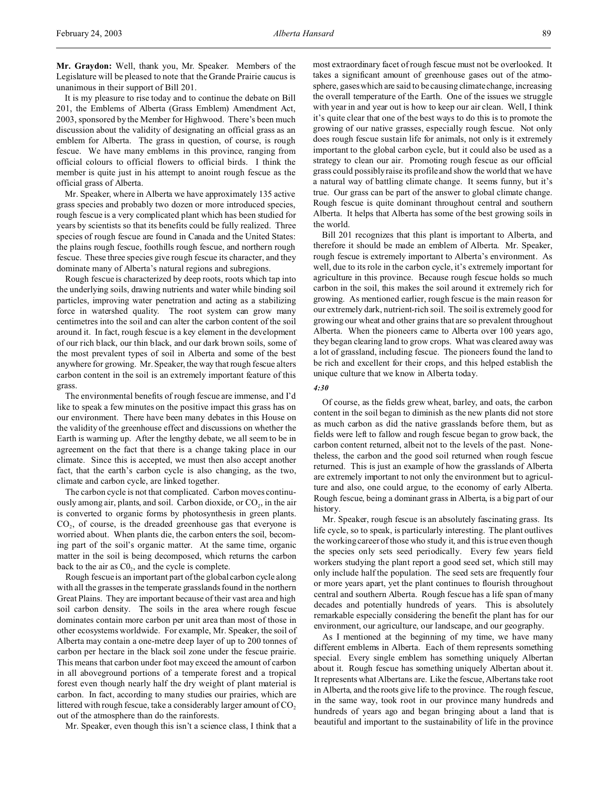**Mr. Graydon:** Well, thank you, Mr. Speaker. Members of the Legislature will be pleased to note that the Grande Prairie caucus is unanimous in their support of Bill 201.

It is my pleasure to rise today and to continue the debate on Bill 201, the Emblems of Alberta (Grass Emblem) Amendment Act, 2003, sponsored by the Member for Highwood. There's been much discussion about the validity of designating an official grass as an emblem for Alberta. The grass in question, of course, is rough fescue. We have many emblems in this province, ranging from official colours to official flowers to official birds. I think the member is quite just in his attempt to anoint rough fescue as the official grass of Alberta.

Mr. Speaker, where in Alberta we have approximately 135 active grass species and probably two dozen or more introduced species, rough fescue is a very complicated plant which has been studied for years by scientists so that its benefits could be fully realized. Three species of rough fescue are found in Canada and the United States: the plains rough fescue, foothills rough fescue, and northern rough fescue. These three species give rough fescue its character, and they dominate many of Alberta's natural regions and subregions.

Rough fescue is characterized by deep roots, roots which tap into the underlying soils, drawing nutrients and water while binding soil particles, improving water penetration and acting as a stabilizing force in watershed quality. The root system can grow many centimetres into the soil and can alter the carbon content of the soil around it. In fact, rough fescue is a key element in the development of our rich black, our thin black, and our dark brown soils, some of the most prevalent types of soil in Alberta and some of the best anywhere for growing. Mr. Speaker, the way that rough fescue alters carbon content in the soil is an extremely important feature of this grass.

The environmental benefits of rough fescue are immense, and I'd like to speak a few minutes on the positive impact this grass has on our environment. There have been many debates in this House on the validity of the greenhouse effect and discussions on whether the Earth is warming up. After the lengthy debate, we all seem to be in agreement on the fact that there is a change taking place in our climate. Since this is accepted, we must then also accept another fact, that the earth's carbon cycle is also changing, as the two, climate and carbon cycle, are linked together.

The carbon cycle is not that complicated. Carbon moves continuously among air, plants, and soil. Carbon dioxide, or  $CO<sub>2</sub>$ , in the air is converted to organic forms by photosynthesis in green plants.  $CO<sub>2</sub>$ , of course, is the dreaded greenhouse gas that everyone is worried about. When plants die, the carbon enters the soil, becoming part of the soil's organic matter. At the same time, organic matter in the soil is being decomposed, which returns the carbon back to the air as  $CO<sub>2</sub>$ , and the cycle is complete.

Rough fescue is an important part of the global carbon cycle along with all the grasses in the temperate grasslands found in the northern Great Plains. They are important because of their vast area and high soil carbon density. The soils in the area where rough fescue dominates contain more carbon per unit area than most of those in other ecosystems worldwide. For example, Mr. Speaker, the soil of Alberta may contain a one-metre deep layer of up to 200 tonnes of carbon per hectare in the black soil zone under the fescue prairie. This means that carbon under foot may exceed the amount of carbon in all aboveground portions of a temperate forest and a tropical forest even though nearly half the dry weight of plant material is carbon. In fact, according to many studies our prairies, which are littered with rough fescue, take a considerably larger amount of  $CO<sub>2</sub>$ out of the atmosphere than do the rainforests.

Mr. Speaker, even though this isn't a science class, I think that a

most extraordinary facet of rough fescue must not be overlooked. It takes a significant amount of greenhouse gases out of the atmosphere, gases which are said to be causing climate change, increasing the overall temperature of the Earth. One of the issues we struggle with year in and year out is how to keep our air clean. Well, I think it's quite clear that one of the best ways to do this is to promote the growing of our native grasses, especially rough fescue. Not only does rough fescue sustain life for animals, not only is it extremely important to the global carbon cycle, but it could also be used as a strategy to clean our air. Promoting rough fescue as our official grass could possibly raise its profile and show the world that we have a natural way of battling climate change. It seems funny, but it's true. Our grass can be part of the answer to global climate change. Rough fescue is quite dominant throughout central and southern Alberta. It helps that Alberta has some of the best growing soils in the world.

Bill 201 recognizes that this plant is important to Alberta, and therefore it should be made an emblem of Alberta. Mr. Speaker, rough fescue is extremely important to Alberta's environment. As well, due to its role in the carbon cycle, it's extremely important for agriculture in this province. Because rough fescue holds so much carbon in the soil, this makes the soil around it extremely rich for growing. As mentioned earlier, rough fescue is the main reason for our extremely dark, nutrient-rich soil. The soil is extremely good for growing our wheat and other grains that are so prevalent throughout Alberta. When the pioneers came to Alberta over 100 years ago, they began clearing land to grow crops. What was cleared away was a lot of grassland, including fescue. The pioneers found the land to be rich and excellent for their crops, and this helped establish the unique culture that we know in Alberta today.

## *4:30*

Of course, as the fields grew wheat, barley, and oats, the carbon content in the soil began to diminish as the new plants did not store as much carbon as did the native grasslands before them, but as fields were left to fallow and rough fescue began to grow back, the carbon content returned, albeit not to the levels of the past. Nonetheless, the carbon and the good soil returned when rough fescue returned. This is just an example of how the grasslands of Alberta are extremely important to not only the environment but to agriculture and also, one could argue, to the economy of early Alberta. Rough fescue, being a dominant grass in Alberta, is a big part of our history.

Mr. Speaker, rough fescue is an absolutely fascinating grass. Its life cycle, so to speak, is particularly interesting. The plant outlives the working career of those who study it, and this is true even though the species only sets seed periodically. Every few years field workers studying the plant report a good seed set, which still may only include half the population. The seed sets are frequently four or more years apart, yet the plant continues to flourish throughout central and southern Alberta. Rough fescue has a life span of many decades and potentially hundreds of years. This is absolutely remarkable especially considering the benefit the plant has for our environment, our agriculture, our landscape, and our geography.

As I mentioned at the beginning of my time, we have many different emblems in Alberta. Each of them represents something special. Every single emblem has something uniquely Albertan about it. Rough fescue has something uniquely Albertan about it. It represents what Albertans are. Like the fescue, Albertans take root in Alberta, and the roots give life to the province. The rough fescue, in the same way, took root in our province many hundreds and hundreds of years ago and began bringing about a land that is beautiful and important to the sustainability of life in the province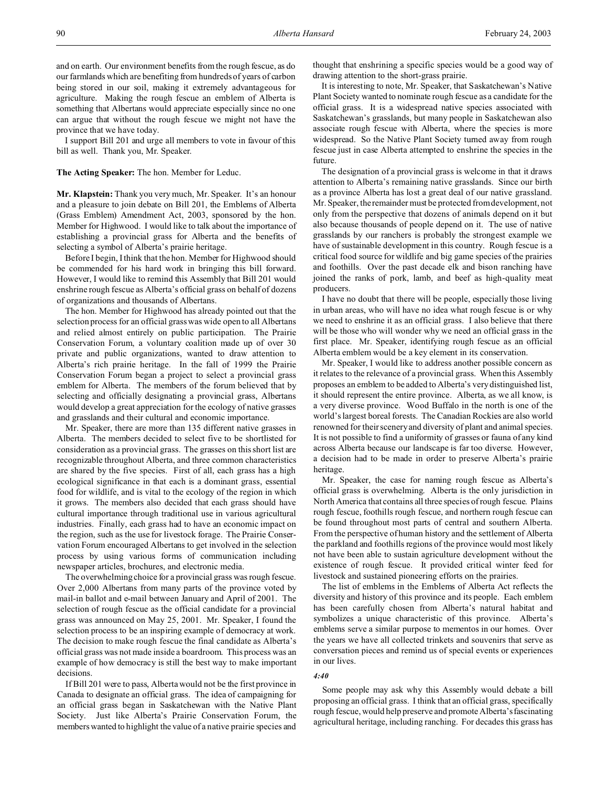and on earth. Our environment benefits from the rough fescue, as do our farmlands which are benefiting from hundreds of years of carbon being stored in our soil, making it extremely advantageous for agriculture. Making the rough fescue an emblem of Alberta is something that Albertans would appreciate especially since no one can argue that without the rough fescue we might not have the province that we have today.

I support Bill 201 and urge all members to vote in favour of this bill as well. Thank you, Mr. Speaker.

## **The Acting Speaker:** The hon. Member for Leduc.

**Mr. Klapstein:** Thank you very much, Mr. Speaker. It's an honour and a pleasure to join debate on Bill 201, the Emblems of Alberta (Grass Emblem) Amendment Act, 2003, sponsored by the hon. Member for Highwood. I would like to talk about the importance of establishing a provincial grass for Alberta and the benefits of selecting a symbol of Alberta's prairie heritage.

Before I begin, I think that the hon. Member for Highwood should be commended for his hard work in bringing this bill forward. However, I would like to remind this Assembly that Bill 201 would enshrine rough fescue as Alberta's official grass on behalf of dozens of organizations and thousands of Albertans.

The hon. Member for Highwood has already pointed out that the selection process for an official grass was wide open to all Albertans and relied almost entirely on public participation. The Prairie Conservation Forum, a voluntary coalition made up of over 30 private and public organizations, wanted to draw attention to Alberta's rich prairie heritage. In the fall of 1999 the Prairie Conservation Forum began a project to select a provincial grass emblem for Alberta. The members of the forum believed that by selecting and officially designating a provincial grass, Albertans would develop a great appreciation for the ecology of native grasses and grasslands and their cultural and economic importance.

Mr. Speaker, there are more than 135 different native grasses in Alberta. The members decided to select five to be shortlisted for consideration as a provincial grass. The grasses on this short list are recognizable throughout Alberta, and three common characteristics are shared by the five species. First of all, each grass has a high ecological significance in that each is a dominant grass, essential food for wildlife, and is vital to the ecology of the region in which it grows. The members also decided that each grass should have cultural importance through traditional use in various agricultural industries. Finally, each grass had to have an economic impact on the region, such as the use for livestock forage. The Prairie Conservation Forum encouraged Albertans to get involved in the selection process by using various forms of communication including newspaper articles, brochures, and electronic media.

The overwhelming choice for a provincial grass was rough fescue. Over 2,000 Albertans from many parts of the province voted by mail-in ballot and e-mail between January and April of 2001. The selection of rough fescue as the official candidate for a provincial grass was announced on May 25, 2001. Mr. Speaker, I found the selection process to be an inspiring example of democracy at work. The decision to make rough fescue the final candidate as Alberta's official grass was not made inside a boardroom. This process was an example of how democracy is still the best way to make important decisions.

If Bill 201 were to pass, Alberta would not be the first province in Canada to designate an official grass. The idea of campaigning for an official grass began in Saskatchewan with the Native Plant Society. Just like Alberta's Prairie Conservation Forum, the members wanted to highlight the value of a native prairie species and

thought that enshrining a specific species would be a good way of drawing attention to the short-grass prairie.

It is interesting to note, Mr. Speaker, that Saskatchewan's Native Plant Society wanted to nominate rough fescue as a candidate for the official grass. It is a widespread native species associated with Saskatchewan's grasslands, but many people in Saskatchewan also associate rough fescue with Alberta, where the species is more widespread. So the Native Plant Society turned away from rough fescue just in case Alberta attempted to enshrine the species in the future.

The designation of a provincial grass is welcome in that it draws attention to Alberta's remaining native grasslands. Since our birth as a province Alberta has lost a great deal of our native grassland. Mr. Speaker, the remainder must be protected from development, not only from the perspective that dozens of animals depend on it but also because thousands of people depend on it. The use of native grasslands by our ranchers is probably the strongest example we have of sustainable development in this country. Rough fescue is a critical food source for wildlife and big game species of the prairies and foothills. Over the past decade elk and bison ranching have joined the ranks of pork, lamb, and beef as high-quality meat producers.

I have no doubt that there will be people, especially those living in urban areas, who will have no idea what rough fescue is or why we need to enshrine it as an official grass. I also believe that there will be those who will wonder why we need an official grass in the first place. Mr. Speaker, identifying rough fescue as an official Alberta emblem would be a key element in its conservation.

Mr. Speaker, I would like to address another possible concern as it relates to the relevance of a provincial grass. When this Assembly proposes an emblem to be added to Alberta's very distinguished list, it should represent the entire province. Alberta, as we all know, is a very diverse province. Wood Buffalo in the north is one of the world's largest boreal forests. The Canadian Rockies are also world renowned for their scenery and diversity of plant and animal species. It is not possible to find a uniformity of grasses or fauna of any kind across Alberta because our landscape is far too diverse. However, a decision had to be made in order to preserve Alberta's prairie heritage.

Mr. Speaker, the case for naming rough fescue as Alberta's official grass is overwhelming. Alberta is the only jurisdiction in North America that contains all three species of rough fescue. Plains rough fescue, foothills rough fescue, and northern rough fescue can be found throughout most parts of central and southern Alberta. From the perspective of human history and the settlement of Alberta the parkland and foothills regions of the province would most likely not have been able to sustain agriculture development without the existence of rough fescue. It provided critical winter feed for livestock and sustained pioneering efforts on the prairies.

The list of emblems in the Emblems of Alberta Act reflects the diversity and history of this province and its people. Each emblem has been carefully chosen from Alberta's natural habitat and symbolizes a unique characteristic of this province. Alberta's emblems serve a similar purpose to mementos in our homes. Over the years we have all collected trinkets and souvenirs that serve as conversation pieces and remind us of special events or experiences in our lives.

#### *4:40*

Some people may ask why this Assembly would debate a bill proposing an official grass. I think that an official grass, specifically rough fescue, would help preserve and promote Alberta's fascinating agricultural heritage, including ranching. For decades this grass has